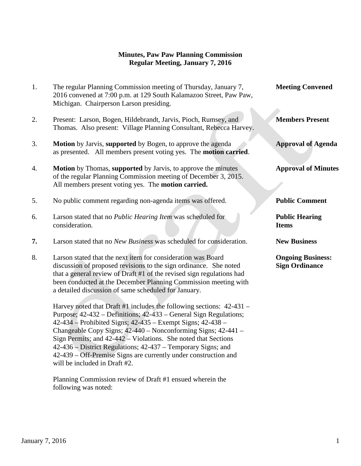### **Minutes, Paw Paw Planning Commission Regular Meeting, January 7, 2016**

| 1. | The regular Planning Commission meeting of Thursday, January 7,<br>2016 convened at 7:00 p.m. at 129 South Kalamazoo Street, Paw Paw,<br>Michigan. Chairperson Larson presiding.                                                                                                                                                      | <b>Meeting Convened</b>                           |
|----|---------------------------------------------------------------------------------------------------------------------------------------------------------------------------------------------------------------------------------------------------------------------------------------------------------------------------------------|---------------------------------------------------|
| 2. | Present: Larson, Bogen, Hildebrandt, Jarvis, Pioch, Rumsey, and<br>Thomas. Also present: Village Planning Consultant, Rebecca Harvey.                                                                                                                                                                                                 | <b>Members Present</b>                            |
| 3. | Motion by Jarvis, supported by Bogen, to approve the agenda<br>as presented. All members present voting yes. The motion carried.                                                                                                                                                                                                      | <b>Approval of Agenda</b>                         |
| 4. | Motion by Thomas, supported by Jarvis, to approve the minutes<br>of the regular Planning Commission meeting of December 3, 2015.<br>All members present voting yes. The motion carried.                                                                                                                                               | <b>Approval of Minutes</b>                        |
| 5. | No public comment regarding non-agenda items was offered.                                                                                                                                                                                                                                                                             | <b>Public Comment</b>                             |
| 6. | Larson stated that no Public Hearing Item was scheduled for<br>consideration.                                                                                                                                                                                                                                                         | <b>Public Hearing</b><br><b>Items</b>             |
| 7. | Larson stated that no New Business was scheduled for consideration.                                                                                                                                                                                                                                                                   | <b>New Business</b>                               |
| 8. | Larson stated that the next item for consideration was Board<br>discussion of proposed revisions to the sign ordinance. She noted<br>that a general review of Draft #1 of the revised sign regulations had<br>been conducted at the December Planning Commission meeting with<br>a detailed discussion of same scheduled for January. | <b>Ongoing Business:</b><br><b>Sign Ordinance</b> |
|    | Harvey noted that Draft #1 includes the following sections: 42-431 -<br>Purpose; 42-432 – Definitions; 42-433 – General Sign Regulations;<br>42-434 – Prohibited Signs; 42-435 – Exempt Signs; 42-438 –<br>Changeable Copy Signs; 42-440 – Nonconforming Signs; 42-441 –                                                              |                                                   |

 Sign Permits; and 42-442 – Violations. She noted that Sections 42-436 – District Regulations; 42-437 – Temporary Signs; and 42-439 – Off-Premise Signs are currently under construction and will be included in Draft #2.

 Planning Commission review of Draft #1 ensued wherein the following was noted:

**January 7, 2016** 1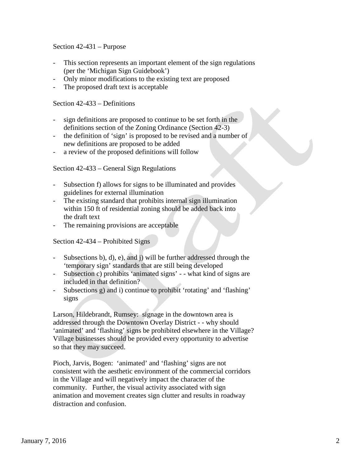Section 42-431 – Purpose

- This section represents an important element of the sign regulations (per the 'Michigan Sign Guidebook')
- Only minor modifications to the existing text are proposed
- The proposed draft text is acceptable

Section 42-433 – Definitions

- sign definitions are proposed to continue to be set forth in the definitions section of the Zoning Ordinance (Section 42-3)
- the definition of 'sign' is proposed to be revised and a number of new definitions are proposed to be added
- a review of the proposed definitions will follow

Section 42-433 – General Sign Regulations

- Subsection f) allows for signs to be illuminated and provides guidelines for external illumination
- The existing standard that prohibits internal sign illumination within 150 ft of residential zoning should be added back into the draft text
- The remaining provisions are acceptable

Section 42-434 – Prohibited Signs

- Subsections b), d), e), and j) will be further addressed through the 'temporary sign' standards that are still being developed
- Subsection c) prohibits 'animated signs' - what kind of signs are included in that definition?
- Subsections g) and i) continue to prohibit 'rotating' and 'flashing' signs

Larson, Hildebrandt, Rumsey: signage in the downtown area is addressed through the Downtown Overlay District - - why should 'animated' and 'flashing' signs be prohibited elsewhere in the Village? Village businesses should be provided every opportunity to advertise so that they may succeed.

Pioch, Jarvis, Bogen: 'animated' and 'flashing' signs are not consistent with the aesthetic environment of the commercial corridors in the Village and will negatively impact the character of the community. Further, the visual activity associated with sign animation and movement creates sign clutter and results in roadway distraction and confusion.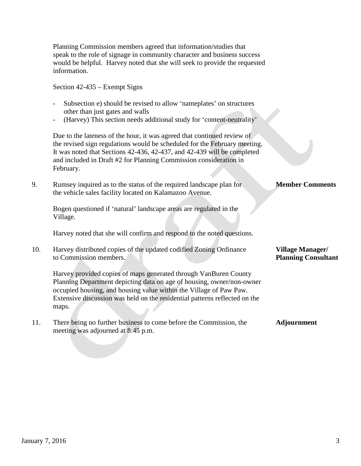Planning Commission members agreed that information/studies that speak to the role of signage in community character and business success would be helpful. Harvey noted that she will seek to provide the requested information.

Section 42-435 – Exempt Signs

- Subsection e) should be revised to allow 'nameplates' on structures other than just gates and walls
- (Harvey) This section needs additional study for 'content-neutrality'

 Due to the lateness of the hour, it was agreed that continued review of the revised sign regulations would be scheduled for the February meeting. It was noted that Sections 42-436, 42-437, and 42-439 will be completed and included in Draft #2 for Planning Commission consideration in February.

9. Rumsey inquired as to the status of the required landscape plan for **Member Comments** the vehicle sales facility located on Kalamazoo Avenue.

 Bogen questioned if 'natural' landscape areas are regulated in the Village.

Harvey noted that she will confirm and respond to the noted questions.

| 10. | Harvey distributed copies of the updated codified Zoning Ordinance         | <b>Village Manager/</b>    |
|-----|----------------------------------------------------------------------------|----------------------------|
|     | to Commission members.                                                     | <b>Planning Consultant</b> |
|     | Harvey provided copies of maps generated through VanBuren County           |                            |
|     | Planning Department depicting data on age of housing, owner/non-owner      |                            |
|     | occupied housing, and housing value within the Village of Paw Paw.         |                            |
|     | Extensive discussion was held on the residential patterns reflected on the |                            |

11. There being no further business to come before the Commission, the **Adjournment** meeting was adjourned at 8:45 p.m.

maps.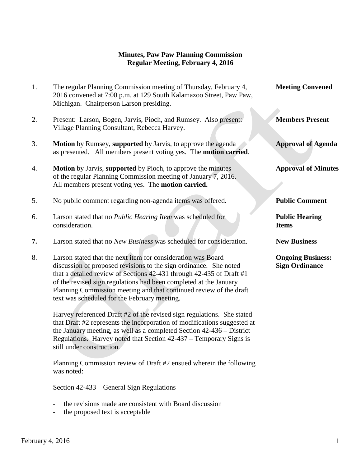### **Minutes, Paw Paw Planning Commission Regular Meeting, February 4, 2016**

| 1. | The regular Planning Commission meeting of Thursday, February 4,<br>2016 convened at 7:00 p.m. at 129 South Kalamazoo Street, Paw Paw,<br>Michigan. Chairperson Larson presiding.                                                                                                                                                                                                                                                                                                                                                                                                                                                                                                                         | <b>Meeting Convened</b>                           |
|----|-----------------------------------------------------------------------------------------------------------------------------------------------------------------------------------------------------------------------------------------------------------------------------------------------------------------------------------------------------------------------------------------------------------------------------------------------------------------------------------------------------------------------------------------------------------------------------------------------------------------------------------------------------------------------------------------------------------|---------------------------------------------------|
| 2. | Present: Larson, Bogen, Jarvis, Pioch, and Rumsey. Also present:<br>Village Planning Consultant, Rebecca Harvey.                                                                                                                                                                                                                                                                                                                                                                                                                                                                                                                                                                                          | <b>Members Present</b>                            |
| 3. | Motion by Rumsey, supported by Jarvis, to approve the agenda<br>as presented. All members present voting yes. The <b>motion carried</b> .                                                                                                                                                                                                                                                                                                                                                                                                                                                                                                                                                                 | <b>Approval of Agenda</b>                         |
| 4. | <b>Motion</b> by Jarvis, supported by Pioch, to approve the minutes<br>of the regular Planning Commission meeting of January 7, 2016.<br>All members present voting yes. The motion carried.                                                                                                                                                                                                                                                                                                                                                                                                                                                                                                              | <b>Approval of Minutes</b>                        |
| 5. | No public comment regarding non-agenda items was offered.                                                                                                                                                                                                                                                                                                                                                                                                                                                                                                                                                                                                                                                 | <b>Public Comment</b>                             |
| 6. | Larson stated that no Public Hearing Item was scheduled for<br>consideration.                                                                                                                                                                                                                                                                                                                                                                                                                                                                                                                                                                                                                             | <b>Public Hearing</b><br><b>Items</b>             |
| 7. | Larson stated that no New Business was scheduled for consideration.                                                                                                                                                                                                                                                                                                                                                                                                                                                                                                                                                                                                                                       | <b>New Business</b>                               |
| 8. | Larson stated that the next item for consideration was Board<br>discussion of proposed revisions to the sign ordinance. She noted<br>that a detailed review of Sections 42-431 through 42-435 of Draft #1<br>of the revised sign regulations had been completed at the January<br>Planning Commission meeting and that continued review of the draft<br>text was scheduled for the February meeting.<br>Harvey referenced Draft #2 of the revised sign regulations. She stated<br>that Draft #2 represents the incorporation of modifications suggested at<br>the January meeting, as well as a completed Section 42-436 – District<br>Regulations. Harvey noted that Section 42-437 – Temporary Signs is | <b>Ongoing Business:</b><br><b>Sign Ordinance</b> |

 Planning Commission review of Draft #2 ensued wherein the following was noted:

Section 42-433 – General Sign Regulations

- the revisions made are consistent with Board discussion
- the proposed text is acceptable

still under construction.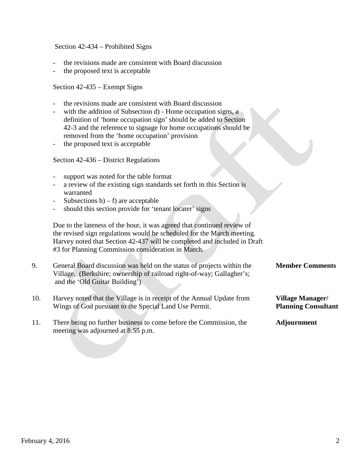Section 42-434 – Prohibited Signs

- the revisions made are consistent with Board discussion
- the proposed text is acceptable

Section 42-435 – Exempt Signs

- the revisions made are consistent with Board discussion
- with the addition of Subsection d) Home occupation signs, a definition of 'home occupation sign' should be added to Section 42-3 and the reference to signage for home occupations should be removed from the 'home occupation' provision
- the proposed text is acceptable

Section 42-436 – District Regulations

- support was noted for the table format
- a review of the existing sign standards set forth in this Section is warranted
- Subsections  $b$ ) f) are acceptable
- should this section provide for 'tenant locater' signs

 Due to the lateness of the hour, it was agreed that continued review of the revised sign regulations would be scheduled for the March meeting. Harvey noted that Section 42-437 will be completed and included in Draft #3 for Planning Commission consideration in March.

- 9. General Board discussion was held on the status of projects within the **Member Comments** Village. (Berkshire; ownership of railroad right-of-way; Gallagher's; and the 'Old Guitar Building')
- 10. Harvey noted that the Village is in receipt of the Annual Update from **Village Manager/** Wings of God pursuant to the Special Land Use Permit. **Planning Consultant**
- 11. There being no further business to come before the Commission, the **Adjournment** meeting was adjourned at 8:55 p.m.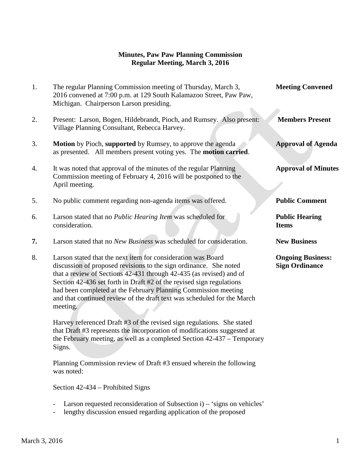## **Minutes, Paw Paw Planning Commission Regular Meeting, March 3, 2016**

| 1. | The regular Planning Commission meeting of Thursday, March 3,<br>2016 convened at 7:00 p.m. at 129 South Kalamazoo Street, Paw Paw,<br>Michigan. Chairperson Larson presiding.                                                                                                                                                                                                                                                            | <b>Meeting Convened</b>                           |
|----|-------------------------------------------------------------------------------------------------------------------------------------------------------------------------------------------------------------------------------------------------------------------------------------------------------------------------------------------------------------------------------------------------------------------------------------------|---------------------------------------------------|
| 2. | Present: Larson, Bogen, Hildebrandt, Pioch, and Rumsey. Also present:<br>Village Planning Consultant, Rebecca Harvey.                                                                                                                                                                                                                                                                                                                     | <b>Members Present</b>                            |
| 3. | Motion by Pioch, supported by Rumsey, to approve the agenda<br>as presented. All members present voting yes. The <b>motion carried</b> .                                                                                                                                                                                                                                                                                                  | <b>Approval of Agenda</b>                         |
| 4. | It was noted that approval of the minutes of the regular Planning<br>Commission meeting of February 4, 2016 will be postponed to the<br>April meeting.                                                                                                                                                                                                                                                                                    | <b>Approval of Minutes</b>                        |
| 5. | No public comment regarding non-agenda items was offered.                                                                                                                                                                                                                                                                                                                                                                                 | <b>Public Comment</b>                             |
| 6. | Larson stated that no Public Hearing Item was scheduled for<br>consideration.                                                                                                                                                                                                                                                                                                                                                             | <b>Public Hearing</b><br><b>Items</b>             |
| 7. | Larson stated that no New Business was scheduled for consideration.                                                                                                                                                                                                                                                                                                                                                                       | <b>New Business</b>                               |
| 8. | Larson stated that the next item for consideration was Board<br>discussion of proposed revisions to the sign ordinance. She noted<br>that a review of Sections 42-431 through 42-435 (as revised) and of<br>Section 42-436 set forth in Draft #2 of the revised sign regulations<br>had been completed at the February Planning Commission meeting<br>and that continued review of the draft text was scheduled for the March<br>meeting. | <b>Ongoing Business:</b><br><b>Sign Ordinance</b> |
|    | Harvey referenced Draft #3 of the revised sign regulations. She stated<br>that Draft #3 represents the incorporation of modifications suggested at<br>the February meeting, as well as a completed Section 42-437 – Temporary                                                                                                                                                                                                             |                                                   |

 Planning Commission review of Draft #3 ensued wherein the following was noted:

Section 42-434 – Prohibited Signs

- Larson requested reconsideration of Subsection i) 'signs on vehicles'
- lengthy discussion ensued regarding application of the proposed

Signs.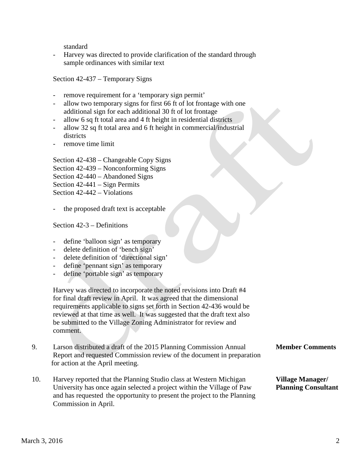standard

Harvey was directed to provide clarification of the standard through sample ordinances with similar text

Section 42-437 – Temporary Signs

- remove requirement for a 'temporary sign permit'
- allow two temporary signs for first 66 ft of lot frontage with one additional sign for each additional 30 ft of lot frontage
- allow 6 sq ft total area and 4 ft height in residential districts
- allow 32 sq ft total area and 6 ft height in commercial/industrial districts
- remove time limit

Section 42-438 – Changeable Copy Signs Section 42-439 – Nonconforming Signs Section 42-440 – Abandoned Signs Section 42-441 – Sign Permits

Section 42-442 – Violations

the proposed draft text is acceptable

Section 42-3 – Definitions

- define 'balloon sign' as temporary
- delete definition of 'bench sign'
- delete definition of 'directional sign'
- define 'pennant sign' as temporary
- define 'portable sign' as temporary

 Harvey was directed to incorporate the noted revisions into Draft #4 for final draft review in April. It was agreed that the dimensional requirements applicable to signs set forth in Section 42-436 would be reviewed at that time as well. It was suggested that the draft text also be submitted to the Village Zoning Administrator for review and comment.

- 9. Larson distributed a draft of the 2015 Planning Commission Annual **Member Comments** Report and requested Commission review of the document in preparation for action at the April meeting.
- 10. Harvey reported that the Planning Studio class at Western Michigan **Village Manager/** University has once again selected a project within the Village of Paw **Planning Consultant** and has requested the opportunity to present the project to the Planning Commission in April.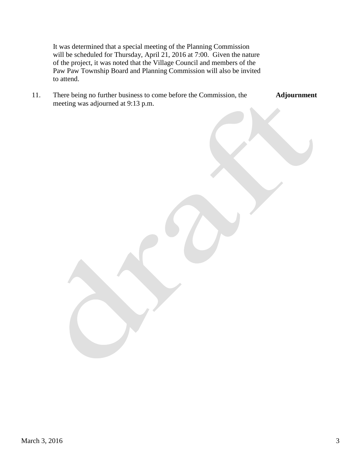It was determined that a special meeting of the Planning Commission will be scheduled for Thursday, April 21, 2016 at 7:00. Given the nature of the project, it was noted that the Village Council and members of the Paw Paw Township Board and Planning Commission will also be invited to attend.

| There being no further business to come before the Commission, the | Adjournment |
|--------------------------------------------------------------------|-------------|
| meeting was adjourned at 9:13 p.m.                                 |             |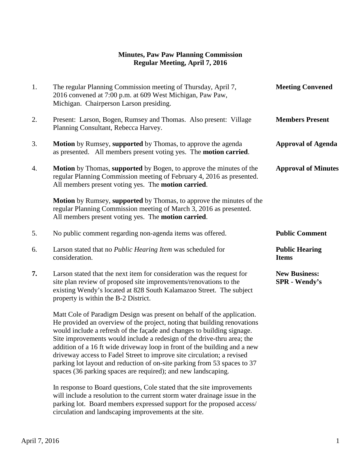# **Minutes, Paw Paw Planning Commission Regular Meeting, April 7, 2016**

| 1. | The regular Planning Commission meeting of Thursday, April 7,<br>2016 convened at 7:00 p.m. at 609 West Michigan, Paw Paw,<br>Michigan. Chairperson Larson presiding.                                                                                                                                                                                                                                                                                                                                                                                                                                      | <b>Meeting Convened</b>                      |
|----|------------------------------------------------------------------------------------------------------------------------------------------------------------------------------------------------------------------------------------------------------------------------------------------------------------------------------------------------------------------------------------------------------------------------------------------------------------------------------------------------------------------------------------------------------------------------------------------------------------|----------------------------------------------|
| 2. | Present: Larson, Bogen, Rumsey and Thomas. Also present: Village<br>Planning Consultant, Rebecca Harvey.                                                                                                                                                                                                                                                                                                                                                                                                                                                                                                   | <b>Members Present</b>                       |
| 3. | <b>Motion</b> by Rumsey, supported by Thomas, to approve the agenda<br>as presented. All members present voting yes. The <b>motion carried</b> .                                                                                                                                                                                                                                                                                                                                                                                                                                                           | <b>Approval of Agenda</b>                    |
| 4. | <b>Motion</b> by Thomas, supported by Bogen, to approve the minutes of the<br>regular Planning Commission meeting of February 4, 2016 as presented.<br>All members present voting yes. The motion carried.                                                                                                                                                                                                                                                                                                                                                                                                 | <b>Approval of Minutes</b>                   |
|    | <b>Motion</b> by Rumsey, supported by Thomas, to approve the minutes of the<br>regular Planning Commission meeting of March 3, 2016 as presented.<br>All members present voting yes. The motion carried.                                                                                                                                                                                                                                                                                                                                                                                                   |                                              |
| 5. | No public comment regarding non-agenda items was offered.                                                                                                                                                                                                                                                                                                                                                                                                                                                                                                                                                  | <b>Public Comment</b>                        |
| 6. | Larson stated that no Public Hearing Item was scheduled for<br>consideration.                                                                                                                                                                                                                                                                                                                                                                                                                                                                                                                              | <b>Public Hearing</b><br><b>Items</b>        |
| 7. | Larson stated that the next item for consideration was the request for<br>site plan review of proposed site improvements/renovations to the<br>existing Wendy's located at 828 South Kalamazoo Street. The subject<br>property is within the B-2 District.                                                                                                                                                                                                                                                                                                                                                 | <b>New Business:</b><br><b>SPR</b> - Wendy's |
|    | Matt Cole of Paradigm Design was present on behalf of the application.<br>He provided an overview of the project, noting that building renovations<br>would include a refresh of the façade and changes to building signage.<br>Site improvements would include a redesign of the drive-thru area; the<br>addition of a 16 ft wide driveway loop in front of the building and a new<br>driveway access to Fadel Street to improve site circulation; a revised<br>parking lot layout and reduction of on-site parking from 53 spaces to 37<br>spaces (36 parking spaces are required); and new landscaping. |                                              |
|    | In response to Board questions, Cole stated that the site improvements<br>will include a resolution to the current storm water drainage issue in the                                                                                                                                                                                                                                                                                                                                                                                                                                                       |                                              |

parking lot. Board members expressed support for the proposed access/

circulation and landscaping improvements at the site.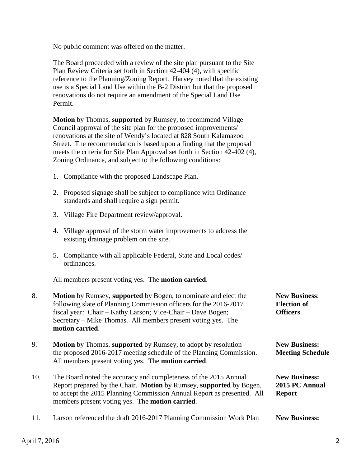No public comment was offered on the matter.

 The Board proceeded with a review of the site plan pursuant to the Site Plan Review Criteria set forth in Section 42-404 (4), with specific reference to the Planning/Zoning Report. Harvey noted that the existing use is a Special Land Use within the B-2 District but that the proposed renovations do not require an amendment of the Special Land Use Permit.

 **Motion** by Thomas, **supported** by Rumsey, to recommend Village Council approval of the site plan for the proposed improvements/ renovations at the site of Wendy's located at 828 South Kalamazoo Street. The recommendation is based upon a finding that the proposal meets the criteria for Site Plan Approval set forth in Section 42-402 (4), Zoning Ordinance, and subject to the following conditions:

- 1. Compliance with the proposed Landscape Plan.
- 2. Proposed signage shall be subject to compliance with Ordinance standards and shall require a sign permit.
- 3. Village Fire Department review/approval.
- 4. Village approval of the storm water improvements to address the existing drainage problem on the site.
- 5. Compliance with all applicable Federal, State and Local codes/ ordinances.

All members present voting yes. The **motion carried**.

| 8.  | <b>Motion</b> by Rumsey, supported by Bogen, to nominate and elect the<br>following slate of Planning Commission officers for the 2016-2017<br>fiscal year: Chair – Kathy Larson; Vice-Chair – Dave Bogen;<br>Secretary – Mike Thomas. All members present voting yes. The<br>motion carried. | <b>New Business:</b><br><b>Election of</b><br><b>Officers</b> |
|-----|-----------------------------------------------------------------------------------------------------------------------------------------------------------------------------------------------------------------------------------------------------------------------------------------------|---------------------------------------------------------------|
| 9.  | <b>Motion</b> by Thomas, supported by Rumsey, to adopt by resolution<br>the proposed 2016-2017 meeting schedule of the Planning Commission.<br>All members present voting yes. The <b>motion carried</b> .                                                                                    | <b>New Business:</b><br><b>Meeting Schedule</b>               |
| 10. | The Board noted the accuracy and completeness of the 2015 Annual<br>Report prepared by the Chair. Motion by Rumsey, supported by Bogen,<br>to accept the 2015 Planning Commission Annual Report as presented. All<br>members present voting yes. The <b>motion carried</b> .                  | <b>New Business:</b><br>2015 PC Annual<br><b>Report</b>       |

11. Larson referenced the draft 2016-2017 Planning Commission Work Plan **New Business:**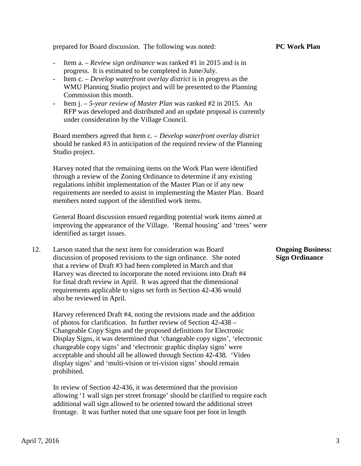prepared for Board discussion. The following was noted: **PC Work Plan**

- Item a. *Review sign ordinance* was ranked #1 in 2015 and is in progress. It is estimated to be completed in June/July.
- Item c. *Develop waterfront overlay district* is in progress as the WMU Planning Studio project and will be presented to the Planning Commission this month.
- Item j. *5-year review of Master Plan* was ranked #2 in 2015. An RFP was developed and distributed and an update proposal is currently under consideration by the Village Council.

 Board members agreed that Item c. – *Develop waterfront overlay district* should be ranked #3 in anticipation of the required review of the Planning Studio project.

 Harvey noted that the remaining items on the Work Plan were identified through a review of the Zoning Ordinance to determine if any existing regulations inhibit implementation of the Master Plan or if any new requirements are needed to assist in implementing the Master Plan. Board members noted support of the identified work items.

 General Board discussion ensued regarding potential work items aimed at improving the appearance of the Village. 'Rental housing' and 'trees' were identified as target issues.

12. Larson stated that the next item for consideration was Board **Ongoing Business:** discussion of proposed revisions to the sign ordinance. She noted **Sign Ordinance** that a review of Draft #3 had been completed in March and that Harvey was directed to incorporate the noted revisions into Draft #4 for final draft review in April. It was agreed that the dimensional requirements applicable to signs set forth in Section 42-436 would also be reviewed in April.

 Harvey referenced Draft #4, noting the revisions made and the addition of photos for clarification. In further review of Section 42-438 – Changeable Copy Signs and the proposed definitions for Electronic Display Signs, it was determined that 'changeable copy signs', 'electronic changeable copy signs' and 'electronic graphic display signs' were acceptable and should all be allowed through Section 42-438. 'Video display signs' and 'multi-vision or tri-vision signs' should remain prohibited.

 In review of Section 42-436, it was determined that the provision allowing '1 wall sign per street frontage' should be clarified to require each additional wall sign allowed to be oriented toward the additional street frontage. It was further noted that one square foot per foot in length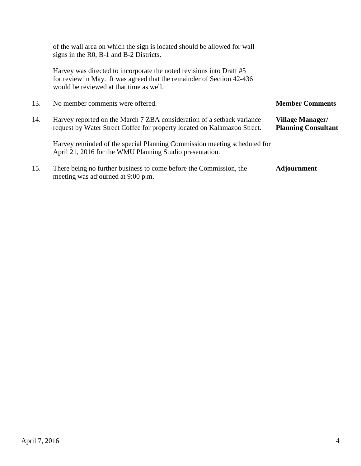|     | of the wall area on which the sign is located should be allowed for wall<br>signs in the R0, B-1 and B-2 Districts.                                                                      |                                                       |
|-----|------------------------------------------------------------------------------------------------------------------------------------------------------------------------------------------|-------------------------------------------------------|
|     | Harvey was directed to incorporate the noted revisions into Draft #5<br>for review in May. It was agreed that the remainder of Section 42-436<br>would be reviewed at that time as well. |                                                       |
| 13. | No member comments were offered.                                                                                                                                                         | <b>Member Comments</b>                                |
| 14. | Harvey reported on the March 7 ZBA consideration of a setback variance<br>request by Water Street Coffee for property located on Kalamazoo Street.                                       | <b>Village Manager/</b><br><b>Planning Consultant</b> |
|     | Harvey reminded of the special Planning Commission meeting scheduled for<br>April 21, 2016 for the WMU Planning Studio presentation.                                                     |                                                       |
| 15. | There being no further business to come before the Commission, the<br>meeting was adjourned at 9:00 p.m.                                                                                 | <b>Adjournment</b>                                    |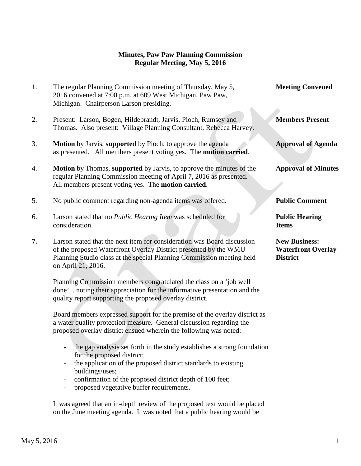# **Minutes, Paw Paw Planning Commission Regular Meeting, May 5, 2016**

| 1. | The regular Planning Commission meeting of Thursday, May 5,<br>2016 convened at 7:00 p.m. at 609 West Michigan, Paw Paw,                                                                                                                   | <b>Meeting Convened</b>                                              |
|----|--------------------------------------------------------------------------------------------------------------------------------------------------------------------------------------------------------------------------------------------|----------------------------------------------------------------------|
|    | Michigan. Chairperson Larson presiding.                                                                                                                                                                                                    |                                                                      |
| 2. | Present: Larson, Bogen, Hildebrandt, Jarvis, Pioch, Rumsey and<br>Thomas. Also present: Village Planning Consultant, Rebecca Harvey.                                                                                                       | <b>Members Present</b>                                               |
| 3. | Motion by Jarvis, supported by Pioch, to approve the agenda<br>as presented. All members present voting yes. The <b>motion carried</b> .                                                                                                   | <b>Approval of Agenda</b>                                            |
| 4. | <b>Motion</b> by Thomas, supported by Jarvis, to approve the minutes of the<br>regular Planning Commission meeting of April 7, 2016 as presented.<br>All members present voting yes. The motion carried.                                   | <b>Approval of Minutes</b>                                           |
| 5. | No public comment regarding non-agenda items was offered.                                                                                                                                                                                  | <b>Public Comment</b>                                                |
| 6. | Larson stated that no Public Hearing Item was scheduled for<br>consideration.                                                                                                                                                              | <b>Public Hearing</b><br><b>Items</b>                                |
| 7. | Larson stated that the next item for consideration was Board discussion<br>of the proposed Waterfront Overlay District presented by the WMU<br>Planning Studio class at the special Planning Commission meeting held<br>on April 21, 2016. | <b>New Business:</b><br><b>Waterfront Overlay</b><br><b>District</b> |
|    | Planning Commission members congratulated the class on a 'job well<br>done' noting their appreciation for the informative presentation and the<br>quality report supporting the proposed overlay district.                                 |                                                                      |
|    | Board members expressed support for the premise of the overlay district as<br>a water quality protection measure. General discussion regarding the<br>proposed overlay district ensued wherein the following was noted:                    |                                                                      |
|    | the gap analysis set forth in the study establishes a strong foundation<br>for the proposed district;                                                                                                                                      |                                                                      |

- the application of the proposed district standards to existing buildings/uses;
- confirmation of the proposed district depth of 100 feet;
- proposed vegetative buffer requirements.

 It was agreed that an in-depth review of the proposed text would be placed on the June meeting agenda. It was noted that a public hearing would be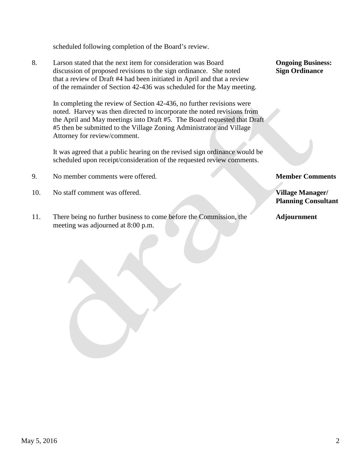scheduled following completion of the Board's review.

8. Larson stated that the next item for consideration was Board **Ongoing Business:** discussion of proposed revisions to the sign ordinance. She noted **Sign Ordinance** that a review of Draft #4 had been initiated in April and that a review of the remainder of Section 42-436 was scheduled for the May meeting.

 In completing the review of Section 42-436, no further revisions were noted. Harvey was then directed to incorporate the noted revisions from the April and May meetings into Draft #5. The Board requested that Draft #5 then be submitted to the Village Zoning Administrator and Village Attorney for review/comment.

 It was agreed that a public hearing on the revised sign ordinance would be scheduled upon receipt/consideration of the requested review comments.

- 9. No member comments were offered. **Member Comments**
- 10. No staff comment was offered. **Village Manager/**
- 11. There being no further business to come before the Commission, the **Adjournment** meeting was adjourned at 8:00 p.m.

**Planning Consultant**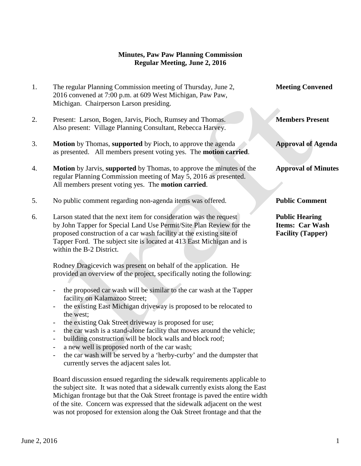## **Minutes, Paw Paw Planning Commission Regular Meeting, June 2, 2016**

| 1. | The regular Planning Commission meeting of Thursday, June 2,<br>2016 convened at 7:00 p.m. at 609 West Michigan, Paw Paw,<br>Michigan. Chairperson Larson presiding.                                                                                                                                                                                                                                                                                                                                                                                                                                                                                                                                                                                                                                                                                                       | <b>Meeting Convened</b>                                                     |
|----|----------------------------------------------------------------------------------------------------------------------------------------------------------------------------------------------------------------------------------------------------------------------------------------------------------------------------------------------------------------------------------------------------------------------------------------------------------------------------------------------------------------------------------------------------------------------------------------------------------------------------------------------------------------------------------------------------------------------------------------------------------------------------------------------------------------------------------------------------------------------------|-----------------------------------------------------------------------------|
| 2. | Present: Larson, Bogen, Jarvis, Pioch, Rumsey and Thomas.<br>Also present: Village Planning Consultant, Rebecca Harvey.                                                                                                                                                                                                                                                                                                                                                                                                                                                                                                                                                                                                                                                                                                                                                    | <b>Members Present</b>                                                      |
| 3. | Motion by Thomas, supported by Pioch, to approve the agenda<br>as presented. All members present voting yes. The motion carried.                                                                                                                                                                                                                                                                                                                                                                                                                                                                                                                                                                                                                                                                                                                                           | <b>Approval of Agenda</b>                                                   |
| 4. | <b>Motion</b> by Jarvis, supported by Thomas, to approve the minutes of the<br>regular Planning Commission meeting of May 5, 2016 as presented.<br>All members present voting yes. The motion carried.                                                                                                                                                                                                                                                                                                                                                                                                                                                                                                                                                                                                                                                                     | <b>Approval of Minutes</b>                                                  |
| 5. | No public comment regarding non-agenda items was offered.                                                                                                                                                                                                                                                                                                                                                                                                                                                                                                                                                                                                                                                                                                                                                                                                                  | <b>Public Comment</b>                                                       |
| 6. | Larson stated that the next item for consideration was the request<br>by John Tapper for Special Land Use Permit/Site Plan Review for the<br>proposed construction of a car wash facility at the existing site of<br>Tapper Ford. The subject site is located at 413 East Michigan and is<br>within the B-2 District.                                                                                                                                                                                                                                                                                                                                                                                                                                                                                                                                                      | <b>Public Hearing</b><br><b>Items: Car Wash</b><br><b>Facility (Tapper)</b> |
|    | Rodney Dragicevich was present on behalf of the application. He<br>provided an overview of the project, specifically noting the following:<br>the proposed car wash will be similar to the car wash at the Tapper<br>$\overline{\phantom{a}}$<br>facility on Kalamazoo Street;<br>the existing East Michigan driveway is proposed to be relocated to<br>$\overline{\phantom{m}}$<br>the west:<br>the existing Oak Street driveway is proposed for use;<br>the car wash is a stand-alone facility that moves around the vehicle;<br>$\overline{\phantom{0}}$<br>building construction will be block walls and block roof;<br>$\overline{\phantom{a}}$<br>a new well is proposed north of the car wash;<br>$\qquad \qquad -$<br>the car wash will be served by a 'herby-curby' and the dumpster that<br>$\overline{\phantom{0}}$<br>currently serves the adjacent sales lot. |                                                                             |

Board discussion ensued regarding the sidewalk requirements applicable to the subject site. It was noted that a sidewalk currently exists along the East Michigan frontage but that the Oak Street frontage is paved the entire width of the site. Concern was expressed that the sidewalk adjacent on the west was not proposed for extension along the Oak Street frontage and that the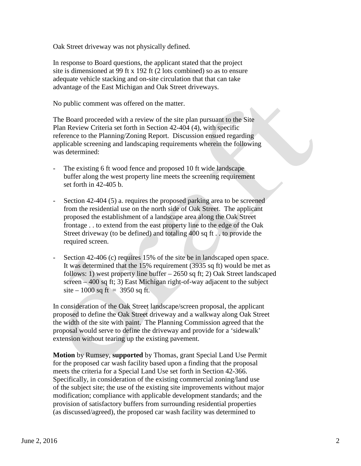Oak Street driveway was not physically defined.

In response to Board questions, the applicant stated that the project site is dimensioned at 99 ft x 192 ft (2 lots combined) so as to ensure adequate vehicle stacking and on-site circulation that that can take advantage of the East Michigan and Oak Street driveways.

No public comment was offered on the matter.

 The Board proceeded with a review of the site plan pursuant to the Site Plan Review Criteria set forth in Section 42-404 (4), with specific reference to the Planning/Zoning Report. Discussion ensued regarding applicable screening and landscaping requirements wherein the following was determined:

- The existing 6 ft wood fence and proposed 10 ft wide landscape buffer along the west property line meets the screening requirement set forth in 42-405 b.
- Section 42-404 (5) a. requires the proposed parking area to be screened from the residential use on the north side of Oak Street. The applicant proposed the establishment of a landscape area along the Oak Street frontage . . to extend from the east property line to the edge of the Oak Street driveway (to be defined) and totaling 400 sq ft . . to provide the required screen.
- Section 42-406 (c) requires 15% of the site be in landscaped open space. It was determined that the 15% requirement (3935 sq ft) would be met as follows: 1) west property line buffer – 2650 sq ft; 2) Oak Street landscaped screen – 400 sq ft; 3) East Michigan right-of-way adjacent to the subject  $site - 1000$  sq ft = 3950 sq ft.

In consideration of the Oak Street landscape/screen proposal, the applicant proposed to define the Oak Street driveway and a walkway along Oak Street the width of the site with paint. The Planning Commission agreed that the proposal would serve to define the driveway and provide for a 'sidewalk' extension without tearing up the existing pavement.

 **Motion** by Rumsey, **supported** by Thomas, grant Special Land Use Permit for the proposed car wash facility based upon a finding that the proposal meets the criteria for a Special Land Use set forth in Section 42-366. Specifically, in consideration of the existing commercial zoning/land use of the subject site; the use of the existing site improvements without major modification; compliance with applicable development standards; and the provision of satisfactory buffers from surrounding residential properties (as discussed/agreed), the proposed car wash facility was determined to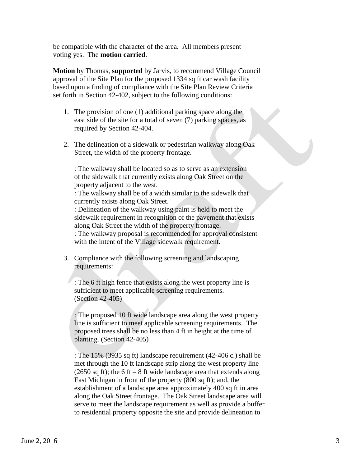be compatible with the character of the area. All members present voting yes. The **motion carried**.

 **Motion** by Thomas, **supported** by Jarvis, to recommend Village Council approval of the Site Plan for the proposed 1334 sq ft car wash facility based upon a finding of compliance with the Site Plan Review Criteria set forth in Section 42-402, subject to the following conditions:

- 1. The provision of one (1) additional parking space along the east side of the site for a total of seven (7) parking spaces, as required by Section 42-404.
- 2. The delineation of a sidewalk or pedestrian walkway along Oak Street, the width of the property frontage.

: The walkway shall be located so as to serve as an extension of the sidewalk that currently exists along Oak Street on the property adjacent to the west.

: The walkway shall be of a width similar to the sidewalk that currently exists along Oak Street.

: Delineation of the walkway using paint is held to meet the sidewalk requirement in recognition of the pavement that exists along Oak Street the width of the property frontage.

: The walkway proposal is recommended for approval consistent with the intent of the Village sidewalk requirement.

3. Compliance with the following screening and landscaping requirements:

: The 6 ft high fence that exists along the west property line is sufficient to meet applicable screening requirements. (Section 42-405)

: The proposed 10 ft wide landscape area along the west property line is sufficient to meet applicable screening requirements. The proposed trees shall be no less than 4 ft in height at the time of planting. (Section 42-405)

: The 15% (3935 sq ft) landscape requirement (42-406 c.) shall be met through the 10 ft landscape strip along the west property line (2650 sq ft); the 6 ft – 8 ft wide landscape area that extends along East Michigan in front of the property (800 sq ft); and, the establishment of a landscape area approximately 400 sq ft in area along the Oak Street frontage. The Oak Street landscape area will serve to meet the landscape requirement as well as provide a buffer to residential property opposite the site and provide delineation to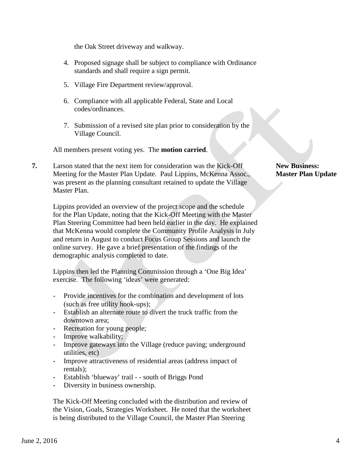the Oak Street driveway and walkway.

- 4. Proposed signage shall be subject to compliance with Ordinance standards and shall require a sign permit.
- 5. Village Fire Department review/approval.
- 6. Compliance with all applicable Federal, State and Local codes/ordinances.
- 7. Submission of a revised site plan prior to consideration by the Village Council.

All members present voting yes. The **motion carried**.

**7.** Larson stated that the next item for consideration was the Kick-Off **New Business: Meeting for the Master Plan Update. Paul Lippins, McKenna Assoc., Master Plan Update**  was present as the planning consultant retained to update the Village Master Plan.

 Lippins provided an overview of the project scope and the schedule for the Plan Update, noting that the Kick-Off Meeting with the Master Plan Steering Committee had been held earlier in the day. He explained that McKenna would complete the Community Profile Analysis in July and return in August to conduct Focus Group Sessions and launch the online survey. He gave a brief presentation of the findings of the demographic analysis completed to date.

 Lippins then led the Planning Commission through a 'One Big Idea' exercise. The following 'ideas' were generated:

- Provide incentives for the combination and development of lots (such as free utility hook-ups);
- Establish an alternate route to divert the truck traffic from the downtown area;
- Recreation for young people;
- Improve walkability;
- Improve gateways into the Village (reduce paving; underground utilities, etc)
- Improve attractiveness of residential areas (address impact of rentals);
- Establish 'blueway' trail - south of Briggs Pond
- Diversity in business ownership.

 The Kick-Off Meeting concluded with the distribution and review of the Vision, Goals, Strategies Worksheet. He noted that the worksheet is being distributed to the Village Council, the Master Plan Steering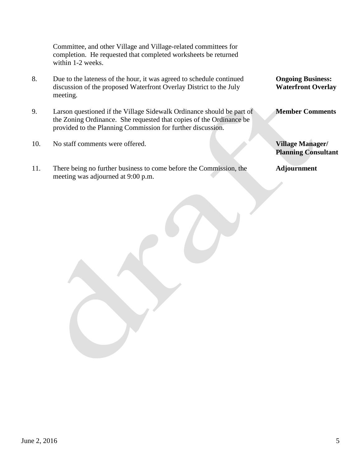Committee, and other Village and Village-related committees for completion. He requested that completed worksheets be returned within 1-2 weeks.

- 8. Due to the lateness of the hour, it was agreed to schedule continued **Ongoing Business:** discussion of the proposed Waterfront Overlay District to the July **Waterfront Overlay**  meeting.
- 9. Larson questioned if the Village Sidewalk Ordinance should be part of **Member Comments** the Zoning Ordinance. She requested that copies of the Ordinance be provided to the Planning Commission for further discussion.
- 10. No staff comments were offered. **Village Manager/**
- 11. There being no further business to come before the Commission, the **Adjournment** meeting was adjourned at 9:00 p.m.

**Planning Consultant**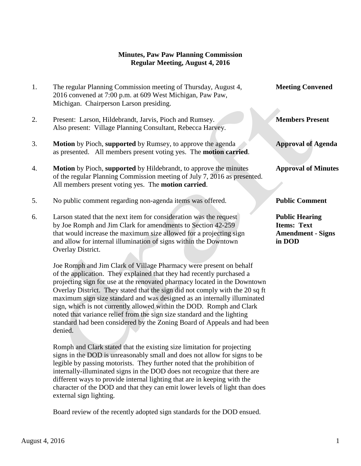## **Minutes, Paw Paw Planning Commission Regular Meeting, August 4, 2016**

1. The regular Planning Commission meeting of Thursday, August 4, **Meeting Convened** 2016 convened at 7:00 p.m. at 609 West Michigan, Paw Paw, Michigan. Chairperson Larson presiding. 2. Present: Larson, Hildebrandt, Jarvis, Pioch and Rumsey. **Members Present** Also present: Village Planning Consultant, Rebecca Harvey. 3. **Motion** by Pioch, **supported** by Rumsey, to approve the agenda **Approval of Agenda** as presented. All members present voting yes. The **motion carried**. 4. **Motion** by Pioch, **supported** by Hildebrandt, to approve the minutes **Approval of Minutes** of the regular Planning Commission meeting of July 7, 2016 as presented. All members present voting yes. The **motion carried**. 5. No public comment regarding non-agenda items was offered. **Public Comment** 6. Larson stated that the next item for consideration was the request **Public Hearing** by Joe Romph and Jim Clark for amendments to Section 42-259 **Items: Text** that would increase the maximum size allowed for a projecting sign **Amendment - Signs** and allow for internal illumination of signs within the Downtown **in DOD** Overlay District.

Joe Romph and Jim Clark of Village Pharmacy were present on behalf of the application. They explained that they had recently purchased a projecting sign for use at the renovated pharmacy located in the Downtown Overlay District. They stated that the sign did not comply with the 20 sq ft maximum sign size standard and was designed as an internally illuminated sign, which is not currently allowed within the DOD. Romph and Clark noted that variance relief from the sign size standard and the lighting standard had been considered by the Zoning Board of Appeals and had been denied.

Romph and Clark stated that the existing size limitation for projecting signs in the DOD is unreasonably small and does not allow for signs to be legible by passing motorists. They further noted that the prohibition of internally-illuminated signs in the DOD does not recognize that there are different ways to provide internal lighting that are in keeping with the character of the DOD and that they can emit lower levels of light than does external sign lighting.

Board review of the recently adopted sign standards for the DOD ensued.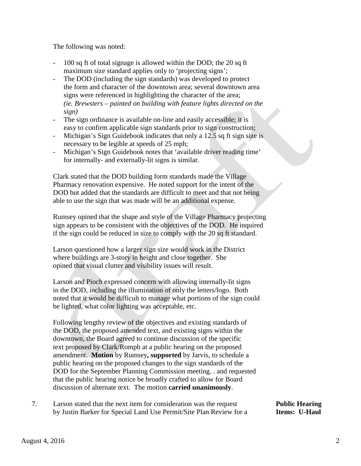The following was noted:

- 100 sq ft of total signage is allowed within the DOD; the 20 sq ft maximum size standard applies only to 'projecting signs';
- The DOD (including the sign standards) was developed to protect the form and character of the downtown area; several downtown area signs were referenced in highlighting the character of the area; *(ie. Brewsters – painted on building with feature lights directed on the sign)*
- The sign ordinance is available on-line and easily accessible; it is easy to confirm applicable sign standards prior to sign construction;
- Michigan's Sign Guidebook indicates that only a 12.5 sq ft sign size is necessary to be legible at speeds of 25 mph;
- Michigan's Sign Guidebook notes that 'available driver reading time' for internally- and externally-lit signs is similar.

Clark stated that the DOD building form standards made the Village Pharmacy renovation expensive. He noted support for the intent of the DOD but added that the standards are difficult to meet and that not being able to use the sign that was made will be an additional expense.

Rumsey opined that the shape and style of the Village Pharmacy projecting sign appears to be consistent with the objectives of the DOD. He inquired if the sign could be reduced in size to comply with the 20 sq ft standard.

Larson questioned how a larger sign size would work in the District where buildings are 3-story in height and close together. She opined that visual clutter and visibility issues will result.

Larson and Pioch expressed concern with allowing internally-lit signs in the DOD, including the illumination of only the letters/logo. Both noted that it would be difficult to manage what portions of the sign could be lighted, what color lighting was acceptable, etc.

Following lengthy review of the objectives and existing standards of the DOD, the proposed amended text, and existing signs within the downtown, the Board agreed to continue discussion of the specific text proposed by Clark/Romph at a public hearing on the proposed amendment. **Motion** by Rumsey**, supported** by Jarvis, to schedule a public hearing on the proposed changes to the sign standards of the DOD for the September Planning Commission meeting. . and requested that the public hearing notice be broadly crafted to allow for Board discussion of alternate text. The motion **carried unanimously**.

7. Larson stated that the next item for consideration was the request **Public Hearing** by Justin Barker for Special Land Use Permit/Site Plan Review for a **Items: U-Haul**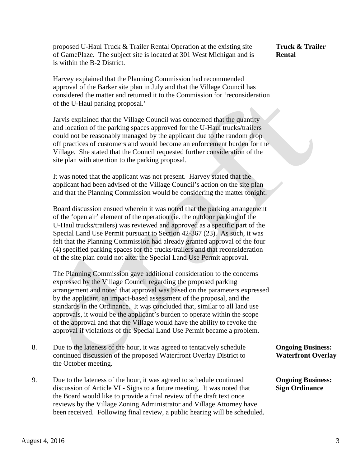proposed U-Haul Truck & Trailer Rental Operation at the existing site **Truck & Trailer** of GamePlaze. The subject site is located at 301 West Michigan and is **Rental** is within the B-2 District.

 Harvey explained that the Planning Commission had recommended approval of the Barker site plan in July and that the Village Council has considered the matter and returned it to the Commission for 'reconsideration of the U-Haul parking proposal.'

 Jarvis explained that the Village Council was concerned that the quantity and location of the parking spaces approved for the U-Haul trucks/trailers could not be reasonably managed by the applicant due to the random drop off practices of customers and would become an enforcement burden for the Village. She stated that the Council requested further consideration of the site plan with attention to the parking proposal.

 It was noted that the applicant was not present. Harvey stated that the applicant had been advised of the Village Council's action on the site plan and that the Planning Commission would be considering the matter tonight.

 Board discussion ensued wherein it was noted that the parking arrangement of the 'open air' element of the operation (ie. the outdoor parking of the U-Haul trucks/trailers) was reviewed and approved as a specific part of the Special Land Use Permit pursuant to Section 42-367 (23). As such, it was felt that the Planning Commission had already granted approval of the four (4) specified parking spaces for the trucks/trailers and that reconsideration of the site plan could not alter the Special Land Use Permit approval.

The Planning Commission gave additional consideration to the concerns expressed by the Village Council regarding the proposed parking arrangement and noted that approval was based on the parameters expressed by the applicant, an impact-based assessment of the proposal, and the standards in the Ordinance. It was concluded that, similar to all land use approvals, it would be the applicant's burden to operate within the scope of the approval and that the Village would have the ability to revoke the approval if violations of the Special Land Use Permit became a problem.

- 8. Due to the lateness of the hour, it was agreed to tentatively schedule **Ongoing Business:** continued discussion of the proposed Waterfront Overlay District to **Waterfront Overlay**  the October meeting.
- 9. Due to the lateness of the hour, it was agreed to schedule continued **Ongoing Business:** discussion of Article VI - Signs to a future meeting. It was noted that **Sign Ordinance** the Board would like to provide a final review of the draft text once reviews by the Village Zoning Administrator and Village Attorney have been received. Following final review, a public hearing will be scheduled.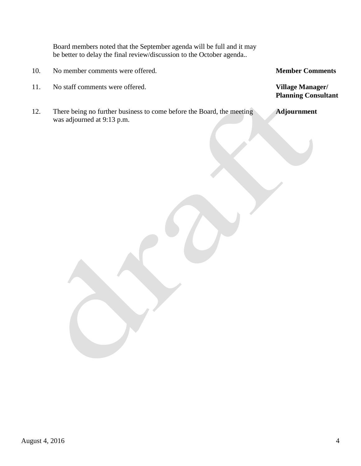Board members noted that the September agenda will be full and it may be better to delay the final review/discussion to the October agenda..

- 10. No member comments were offered. **Member Comments**
- 11. No staff comments were offered. **Village Manager/**
- 12. There being no further business to come before the Board, the meeting **Adjournment** was adjourned at 9:13 p.m.

**Planning Consultant**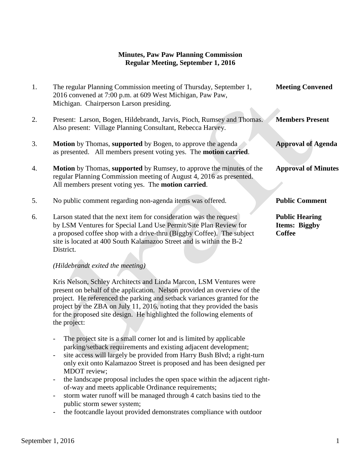# **Minutes, Paw Paw Planning Commission Regular Meeting, September 1, 2016**

| 1. | The regular Planning Commission meeting of Thursday, September 1,<br>2016 convened at 7:00 p.m. at 609 West Michigan, Paw Paw,<br>Michigan. Chairperson Larson presiding.                                                                                                                           | <b>Meeting Convened</b>                                        |
|----|-----------------------------------------------------------------------------------------------------------------------------------------------------------------------------------------------------------------------------------------------------------------------------------------------------|----------------------------------------------------------------|
| 2. | Present: Larson, Bogen, Hildebrandt, Jarvis, Pioch, Rumsey and Thomas.<br>Also present: Village Planning Consultant, Rebecca Harvey.                                                                                                                                                                | <b>Members Present</b>                                         |
| 3. | <b>Motion</b> by Thomas, supported by Bogen, to approve the agenda<br>as presented. All members present voting yes. The motion carried.                                                                                                                                                             | <b>Approval of Agenda</b>                                      |
| 4. | <b>Motion</b> by Thomas, <b>supported</b> by Rumsey, to approve the minutes of the<br>regular Planning Commission meeting of August 4, 2016 as presented.<br>All members present voting yes. The <b>motion carried</b> .                                                                            | <b>Approval of Minutes</b>                                     |
| 5. | No public comment regarding non-agenda items was offered.                                                                                                                                                                                                                                           | <b>Public Comment</b>                                          |
| 6. | Larson stated that the next item for consideration was the request<br>by LSM Ventures for Special Land Use Permit/Site Plan Review for<br>a proposed coffee shop with a drive-thru (Biggby Coffee). The subject<br>site is located at 400 South Kalamazoo Street and is within the B-2<br>District. | <b>Public Hearing</b><br><b>Items: Biggby</b><br><b>Coffee</b> |

#### *(Hildebrandt exited the meeting)*

Kris Nelson, Schley Architects and Linda Marcon, LSM Ventures were present on behalf of the application. Nelson provided an overview of the project. He referenced the parking and setback variances granted for the project by the ZBA on July 11, 2016, noting that they provided the basis for the proposed site design. He highlighted the following elements of the project:

- The project site is a small corner lot and is limited by applicable parking/setback requirements and existing adjacent development;
- site access will largely be provided from Harry Bush Blvd; a right-turn only exit onto Kalamazoo Street is proposed and has been designed per MDOT review;
- the landscape proposal includes the open space within the adjacent rightof-way and meets applicable Ordinance requirements;
- storm water runoff will be managed through 4 catch basins tied to the public storm sewer system;
- the footcandle layout provided demonstrates compliance with outdoor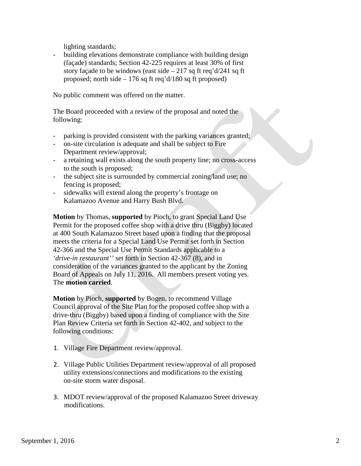lighting standards;

building elevations demonstrate compliance with building design (façade) standards; Section 42-225 requires at least 30% of first story façade to be windows (east side  $-217$  sq ft req'd/241 sq ft proposed; north side  $-176$  sq ft req'd/180 sq ft proposed)

No public comment was offered on the matter.

 The Board proceeded with a review of the proposal and noted the following:

- parking is provided consistent with the parking variances granted;
- on-site circulation is adequate and shall be subject to Fire Department review/approval;
- a retaining wall exists along the south property line; no cross-access to the south is proposed;
- the subject site is surrounded by commercial zoning/land use; no fencing is proposed;
- sidewalks will extend along the property's frontage on Kalamazoo Avenue and Harry Bush Blvd.

 **Motion** by Thomas, **supported** by Pioch, to grant Special Land Use Permit for the proposed coffee shop with a drive thru (Biggby) located at 400 South Kalamazoo Street based upon a finding that the proposal meets the criteria for a Special Land Use Permit set forth in Section 42-366 and the Special Use Permit Standards applicable to a *'drive-in restaurant''* set forth in Section 42-367 (8), and in consideration of the variances granted to the applicant by the Zoning Board of Appeals on July 11, 2016. All members present voting yes. The **motion carried**.

 **Motion** by Pioch, **supported** by Bogen, to recommend Village Council approval of the Site Plan for the proposed coffee shop with a drive-thru (Biggby) based upon a finding of compliance with the Site Plan Review Criteria set forth in Section 42-402, and subject to the following conditions:

- 1. Village Fire Department review/approval.
- 2. Village Public Utilities Department review/approval of all proposed utility extensions/connections and modifications to the existing on-site storm water disposal.
- 3. MDOT review/approval of the proposed Kalamazoo Street driveway modifications.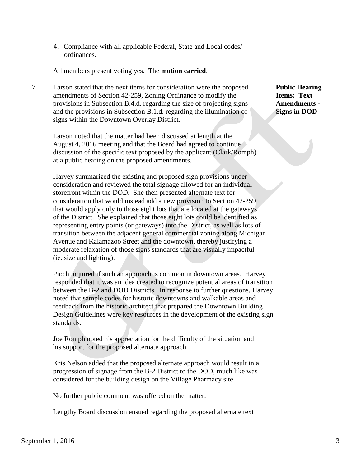4. Compliance with all applicable Federal, State and Local codes/ ordinances.

All members present voting yes. The **motion carried**.

7. Larson stated that the next items for consideration were the proposed **Public Hearing** amendments of Section 42-259, Zoning Ordinance to modify the **Items: Text**  provisions in Subsection B.4.d. regarding the size of projecting signs **Amendments**  and the provisions in Subsection B.1.d. regarding the illumination of **Signs in DOD** signs within the Downtown Overlay District.

 Larson noted that the matter had been discussed at length at the August 4, 2016 meeting and that the Board had agreed to continue discussion of the specific text proposed by the applicant (Clark/Romph) at a public hearing on the proposed amendments.

 Harvey summarized the existing and proposed sign provisions under consideration and reviewed the total signage allowed for an individual storefront within the DOD. She then presented alternate text for consideration that would instead add a new provision to Section 42-259 that would apply only to those eight lots that are located at the gateways of the District. She explained that those eight lots could be identified as representing entry points (or gateways) into the District, as well as lots of transition between the adjacent general commercial zoning along Michigan Avenue and Kalamazoo Street and the downtown, thereby justifying a moderate relaxation of those signs standards that are visually impactful (ie. size and lighting).

 Pioch inquired if such an approach is common in downtown areas. Harvey responded that it was an idea created to recognize potential areas of transition between the B-2 and DOD Districts. In response to further questions, Harvey noted that sample codes for historic downtowns and walkable areas and feedback from the historic architect that prepared the Downtown Building Design Guidelines were key resources in the development of the existing sign standards.

 Joe Romph noted his appreciation for the difficulty of the situation and his support for the proposed alternate approach.

 Kris Nelson added that the proposed alternate approach would result in a progression of signage from the B-2 District to the DOD, much like was considered for the building design on the Village Pharmacy site.

No further public comment was offered on the matter.

Lengthy Board discussion ensued regarding the proposed alternate text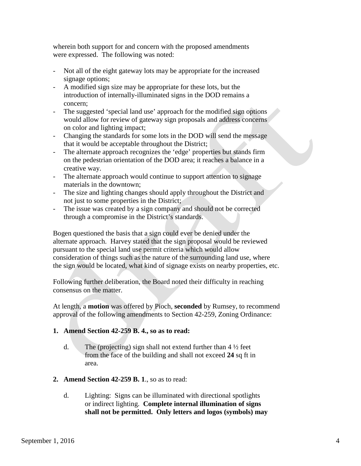wherein both support for and concern with the proposed amendments were expressed. The following was noted:

- Not all of the eight gateway lots may be appropriate for the increased signage options;
- A modified sign size may be appropriate for these lots, but the introduction of internally-illuminated signs in the DOD remains a concern;
- The suggested 'special land use' approach for the modified sign options would allow for review of gateway sign proposals and address concerns on color and lighting impact;
- Changing the standards for some lots in the DOD will send the message that it would be acceptable throughout the District;
- The alternate approach recognizes the 'edge' properties but stands firm on the pedestrian orientation of the DOD area; it reaches a balance in a creative way.
- The alternate approach would continue to support attention to signage materials in the downtown;
- The size and lighting changes should apply throughout the District and not just to some properties in the District;
- The issue was created by a sign company and should not be corrected through a compromise in the District's standards.

 Bogen questioned the basis that a sign could ever be denied under the alternate approach. Harvey stated that the sign proposal would be reviewed pursuant to the special land use permit criteria which would allow consideration of things such as the nature of the surrounding land use, where the sign would be located, what kind of signage exists on nearby properties, etc.

Following further deliberation, the Board noted their difficulty in reaching consensus on the matter.

At length, a **motion** was offered by Pioch, **seconded** by Rumsey, to recommend approval of the following amendments to Section 42-259, Zoning Ordinance:

# **1. Amend Section 42-259 B. 4., so as to read:**

- d. The (projecting) sign shall not extend further than  $4\frac{1}{2}$  feet from the face of the building and shall not exceed **24** sq ft in area.
- **2. Amend Section 42-259 B. 1**., so as to read:
	- d. Lighting: Signs can be illuminated with directional spotlights or indirect lighting. **Complete internal illumination of signs shall not be permitted. Only letters and logos (symbols) may**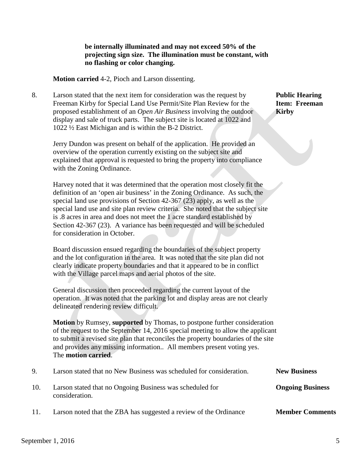#### **be internally illuminated and may not exceed 50% of the projecting sign size. The illumination must be constant, with no flashing or color changing.**

 **Motion carried** 4-2, Pioch and Larson dissenting.

8. Larson stated that the next item for consideration was the request by **Public Hearing** Freeman Kirby for Special Land Use Permit/Site Plan Review for the **Item: Freeman** proposed establishment of an *Open Air Business* involving the outdoor **Kirby** display and sale of truck parts. The subject site is located at 1022 and 1022 ½ East Michigan and is within the B-2 District.

 Jerry Dundon was present on behalf of the application. He provided an overview of the operation currently existing on the subject site and explained that approval is requested to bring the property into compliance with the Zoning Ordinance.

 Harvey noted that it was determined that the operation most closely fit the definition of an 'open air business' in the Zoning Ordinance. As such, the special land use provisions of Section 42-367 (23) apply, as well as the special land use and site plan review criteria. She noted that the subject site is .8 acres in area and does not meet the 1 acre standard established by Section 42-367 (23). A variance has been requested and will be scheduled for consideration in October.

 Board discussion ensued regarding the boundaries of the subject property and the lot configuration in the area. It was noted that the site plan did not clearly indicate property boundaries and that it appeared to be in conflict with the Village parcel maps and aerial photos of the site.

 General discussion then proceeded regarding the current layout of the operation. It was noted that the parking lot and display areas are not clearly delineated rendering review difficult.

 **Motion** by Rumsey, **supported** by Thomas, to postpone further consideration of the request to the September 14, 2016 special meeting to allow the applicant to submit a revised site plan that reconciles the property boundaries of the site and provides any missing information.. All members present voting yes. The **motion carried**.

| 9.   | Larson stated that no New Business was scheduled for consideration.        | <b>New Business</b>     |
|------|----------------------------------------------------------------------------|-------------------------|
| 10.  | Larson stated that no Ongoing Business was scheduled for<br>consideration. | <b>Ongoing Business</b> |
| -11. | Larson noted that the ZBA has suggested a review of the Ordinance          | <b>Member Comments</b>  |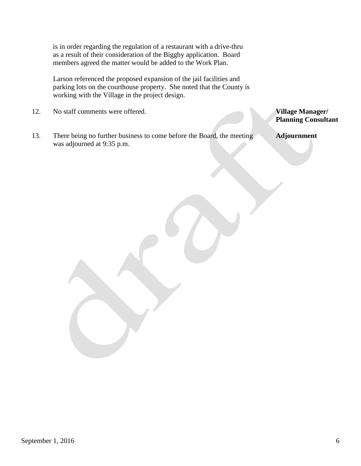is in order regarding the regulation of a restaurant with a drive-thru as a result of their consideration of the Biggby application. Board members agreed the matter would be added to the Work Plan.

 Larson referenced the proposed expansion of the jail facilities and parking lots on the courthouse property. She noted that the County is working with the Village in the project design.

- 12. No staff comments were offered. **Village Manager/**
- 13. There being no further business to come before the Board, the meeting **Adjournment** was adjourned at 9:35 p.m.

**Planning Consultant**

September 1, 2016  $\qquad \qquad$  6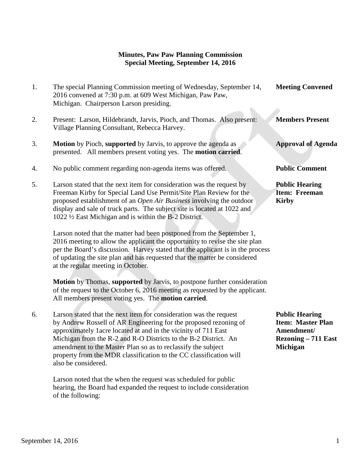# **Minutes, Paw Paw Planning Commission Special Meeting, September 14, 2016**

| 1. | The special Planning Commission meeting of Wednesday, September 14,<br>2016 convened at 7:30 p.m. at 609 West Michigan, Paw Paw,<br>Michigan. Chairperson Larson presiding.                                                                                                                                                                                                                                                               | <b>Meeting Convened</b>                                                                                   |
|----|-------------------------------------------------------------------------------------------------------------------------------------------------------------------------------------------------------------------------------------------------------------------------------------------------------------------------------------------------------------------------------------------------------------------------------------------|-----------------------------------------------------------------------------------------------------------|
| 2. | Present: Larson, Hildebrandt, Jarvis, Pioch, and Thomas. Also present:<br>Village Planning Consultant, Rebecca Harvey.                                                                                                                                                                                                                                                                                                                    | <b>Members Present</b>                                                                                    |
| 3. | Motion by Pioch, supported by Jarvis, to approve the agenda as<br>presented. All members present voting yes. The <b>motion carried</b> .                                                                                                                                                                                                                                                                                                  | <b>Approval of Agenda</b>                                                                                 |
| 4. | No public comment regarding non-agenda items was offered.                                                                                                                                                                                                                                                                                                                                                                                 | <b>Public Comment</b>                                                                                     |
| 5. | Larson stated that the next item for consideration was the request by<br>Freeman Kirby for Special Land Use Permit/Site Plan Review for the<br>proposed establishment of an Open Air Business involving the outdoor<br>display and sale of truck parts. The subject site is located at 1022 and<br>1022 1/2 East Michigan and is within the B-2 District.                                                                                 | <b>Public Hearing</b><br>Item: Freeman<br><b>Kirby</b>                                                    |
|    | Larson noted that the matter had been postponed from the September 1,<br>2016 meeting to allow the applicant the opportunity to revise the site plan<br>per the Board's discussion. Harvey stated that the applicant is in the process<br>of updating the site plan and has requested that the matter be considered<br>at the regular meeting in October.                                                                                 |                                                                                                           |
|    | Motion by Thomas, supported by Jarvis, to postpone further consideration<br>of the request to the October 6, 2016 meeting as requested by the applicant.<br>All members present voting yes. The motion carried.                                                                                                                                                                                                                           |                                                                                                           |
| 6. | Larson stated that the next item for consideration was the request<br>by Andrew Rossell of AR Engineering for the proposed rezoning of<br>approximately 1 acre located at and in the vicinity of 711 East<br>Michigan from the R-2 and R-O Districts to the B-2 District. An<br>amendment to the Master Plan so as to reclassify the subject<br>property from the MDR classification to the CC classification will<br>also be considered. | <b>Public Hearing</b><br><b>Item: Master Plan</b><br>Amendment/<br><b>Rezoning – 711 East</b><br>Michigan |

 Larson noted that the when the request was scheduled for public hearing, the Board had expanded the request to include consideration of the following: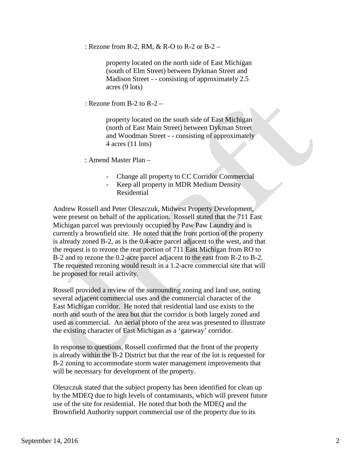: Rezone from R-2, RM, & R-O to R-2 or B-2 –

property located on the north side of East Michigan (south of Elm Street) between Dykman Street and Madison Street - - consisting of approximately 2.5 acres (9 lots)

: Rezone from B-2 to R-2 –

property located on the south side of East Michigan (north of East Main Street) between Dykman Street and Woodman Street - - consisting of approximately 4 acres (11 lots)

: Amend Master Plan –

- Change all property to CC Corridor Commercial
- Keep all property in MDR Medium Density Residential

 Andrew Rossell and Peter Oleszczuk, Midwest Property Development, were present on behalf of the application. Rossell stated that the 711 East Michigan parcel was previously occupied by Paw Paw Laundry and is currently a brownfield site. He noted that the front portion of the property is already zoned B-2, as is the 0.4-acre parcel adjacent to the west, and that the request is to rezone the rear portion of 711 East Michigan from RO to B-2 and to rezone the 0.2-acre parcel adjacent to the east from R-2 to B-2. The requested rezoning would result in a 1.2-acre commercial site that will be proposed for retail activity.

 Rossell provided a review of the surrounding zoning and land use, noting several adjacent commercial uses and the commercial character of the East Michigan corridor. He noted that residential land use exists to the north and south of the area but that the corridor is both largely zoned and used as commercial. An aerial photo of the area was presented to illustrate the existing character of East Michigan as a 'gateway' corridor.

 In response to questions, Rossell confirmed that the front of the property is already within the B-2 District but that the rear of the lot is requested for B-2 zoning to accommodate storm water management improvements that will be necessary for development of the property.

 Oleszczuk stated that the subject property has been identified for clean up by the MDEQ due to high levels of contaminants, which will prevent future use of the site for residential. He noted that both the MDEQ and the Brownfield Authority support commercial use of the property due to its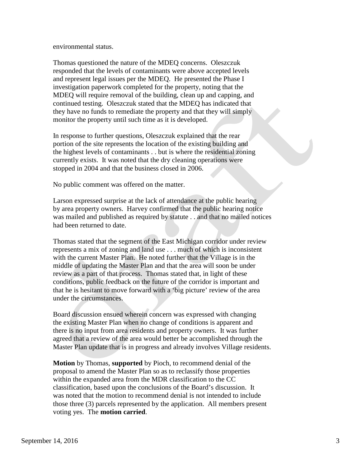environmental status.

 Thomas questioned the nature of the MDEQ concerns. Oleszczuk responded that the levels of contaminants were above accepted levels and represent legal issues per the MDEQ. He presented the Phase I investigation paperwork completed for the property, noting that the MDEQ will require removal of the building, clean up and capping, and continued testing. Oleszczuk stated that the MDEQ has indicated that they have no funds to remediate the property and that they will simply monitor the property until such time as it is developed.

 In response to further questions, Oleszczuk explained that the rear portion of the site represents the location of the existing building and the highest levels of contaminants . . but is where the residential zoning currently exists. It was noted that the dry cleaning operations were stopped in 2004 and that the business closed in 2006.

No public comment was offered on the matter.

 Larson expressed surprise at the lack of attendance at the public hearing by area property owners. Harvey confirmed that the public hearing notice was mailed and published as required by statute . . and that no mailed notices had been returned to date.

 Thomas stated that the segment of the East Michigan corridor under review represents a mix of zoning and land use . . . much of which is inconsistent with the current Master Plan. He noted further that the Village is in the middle of updating the Master Plan and that the area will soon be under review as a part of that process. Thomas stated that, in light of these conditions, public feedback on the future of the corridor is important and that he is hesitant to move forward with a 'big picture' review of the area under the circumstances.

 Board discussion ensued wherein concern was expressed with changing the existing Master Plan when no change of conditions is apparent and there is no input from area residents and property owners. It was further agreed that a review of the area would better be accomplished through the Master Plan update that is in progress and already involves Village residents.

 **Motion** by Thomas, **supported** by Pioch, to recommend denial of the proposal to amend the Master Plan so as to reclassify those properties within the expanded area from the MDR classification to the CC classification, based upon the conclusions of the Board's discussion. It was noted that the motion to recommend denial is not intended to include those three (3) parcels represented by the application. All members present voting yes. The **motion carried**.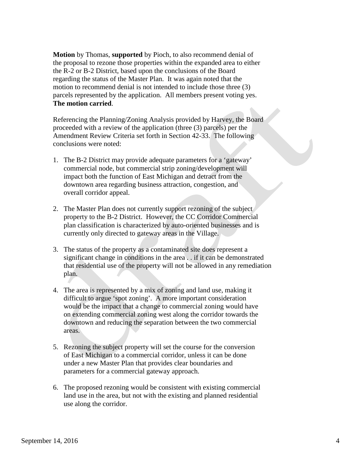**Motion** by Thomas, **supported** by Pioch, to also recommend denial of the proposal to rezone those properties within the expanded area to either the R-2 or B-2 District, based upon the conclusions of the Board regarding the status of the Master Plan. It was again noted that the motion to recommend denial is not intended to include those three (3) parcels represented by the application. All members present voting yes.  **The motion carried**.

 Referencing the Planning/Zoning Analysis provided by Harvey, the Board proceeded with a review of the application (three (3) parcels) per the Amendment Review Criteria set forth in Section 42-33. The following conclusions were noted:

- 1. The B-2 District may provide adequate parameters for a 'gateway' commercial node, but commercial strip zoning/development will impact both the function of East Michigan and detract from the downtown area regarding business attraction, congestion, and overall corridor appeal.
- 2. The Master Plan does not currently support rezoning of the subject property to the B-2 District. However, the CC Corridor Commercial plan classification is characterized by auto-oriented businesses and is currently only directed to gateway areas in the Village.
- 3. The status of the property as a contaminated site does represent a significant change in conditions in the area . . if it can be demonstrated that residential use of the property will not be allowed in any remediation plan.
- 4. The area is represented by a mix of zoning and land use, making it difficult to argue 'spot zoning'. A more important consideration would be the impact that a change to commercial zoning would have on extending commercial zoning west along the corridor towards the downtown and reducing the separation between the two commercial areas.
- 5. Rezoning the subject property will set the course for the conversion of East Michigan to a commercial corridor, unless it can be done under a new Master Plan that provides clear boundaries and parameters for a commercial gateway approach.
- 6. The proposed rezoning would be consistent with existing commercial land use in the area, but not with the existing and planned residential use along the corridor.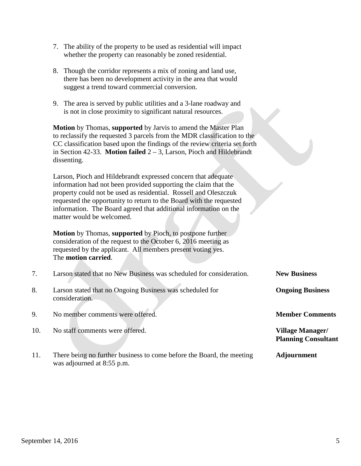- 7. The ability of the property to be used as residential will impact whether the property can reasonably be zoned residential.
- 8. Though the corridor represents a mix of zoning and land use, there has been no development activity in the area that would suggest a trend toward commercial conversion.
- 9. The area is served by public utilities and a 3-lane roadway and is not in close proximity to significant natural resources.

 **Motion** by Thomas, **supported** by Jarvis to amend the Master Plan to reclassify the requested 3 parcels from the MDR classification to the CC classification based upon the findings of the review criteria set forth in Section 42-33. **Motion failed** 2 – 3, Larson, Pioch and Hildebrandt dissenting.

 Larson, Pioch and Hildebrandt expressed concern that adequate information had not been provided supporting the claim that the property could not be used as residential. Rossell and Oleszczuk requested the opportunity to return to the Board with the requested information. The Board agreed that additional information on the matter would be welcomed.

 **Motion** by Thomas, **supported** by Pioch, to postpone further consideration of the request to the October 6, 2016 meeting as requested by the applicant. All members present voting yes. The **motion carried**.

| 7.  | Larson stated that no New Business was scheduled for consideration.        | <b>New Business</b>                                   |
|-----|----------------------------------------------------------------------------|-------------------------------------------------------|
| 8.  | Larson stated that no Ongoing Business was scheduled for<br>consideration. | <b>Ongoing Business</b>                               |
| 9.  | No member comments were offered.                                           | <b>Member Comments</b>                                |
| 10. | No staff comments were offered.                                            | <b>Village Manager/</b><br><b>Planning Consultant</b> |
| 11. | There being no further business to come before the Board, the meeting      | <b>Adjournment</b>                                    |

was adjourned at 8:55 p.m.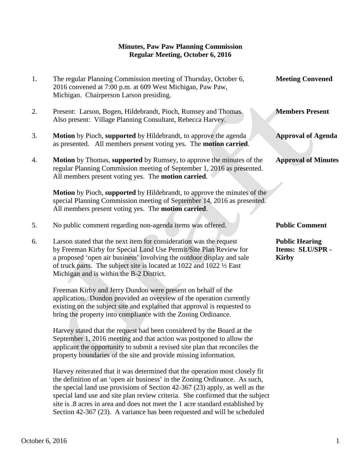## **Minutes, Paw Paw Planning Commission Regular Meeting, October 6, 2016**

| 1. | The regular Planning Commission meeting of Thursday, October 6,<br>2016 convened at 7:00 p.m. at 609 West Michigan, Paw Paw,<br>Michigan. Chairperson Larson presiding.                                                                                                                                                                                                                                                                                                                   | <b>Meeting Convened</b>                                   |
|----|-------------------------------------------------------------------------------------------------------------------------------------------------------------------------------------------------------------------------------------------------------------------------------------------------------------------------------------------------------------------------------------------------------------------------------------------------------------------------------------------|-----------------------------------------------------------|
| 2. | Present: Larson, Bogen, Hildebrandt, Pioch, Rumsey and Thomas.<br>Also present: Village Planning Consultant, Rebecca Harvey.                                                                                                                                                                                                                                                                                                                                                              | <b>Members Present</b>                                    |
| 3. | Motion by Pioch, supported by Hildebrandt, to approve the agenda<br>as presented. All members present voting yes. The motion carried.                                                                                                                                                                                                                                                                                                                                                     | <b>Approval of Agenda</b>                                 |
| 4. | <b>Motion</b> by Thomas, supported by Rumsey, to approve the minutes of the<br>regular Planning Commission meeting of September 1, 2016 as presented.<br>All members present voting yes. The motion carried.                                                                                                                                                                                                                                                                              | <b>Approval of Minutes</b>                                |
|    | Motion by Pioch, supported by Hildebrandt, to approve the minutes of the<br>special Planning Commission meeting of September 14, 2016 as presented.<br>All members present voting yes. The motion carried.                                                                                                                                                                                                                                                                                |                                                           |
| 5. | No public comment regarding non-agenda items was offered.                                                                                                                                                                                                                                                                                                                                                                                                                                 | <b>Public Comment</b>                                     |
| 6. | Larson stated that the next item for consideration was the request<br>by Freeman Kirby for Special Land Use Permit/Site Plan Review for<br>a proposed 'open air business' involving the outdoor display and sale<br>of truck parts. The subject site is located at $1022$ and $1022 \frac{1}{2}$ East<br>Michigan and is within the B-2 District.                                                                                                                                         | <b>Public Hearing</b><br>Items: SLU/SPR -<br><b>Kirby</b> |
|    | Freeman Kirby and Jerry Dundon were present on behalf of the<br>application. Dundon provided an overview of the operation currently<br>existing on the subject site and explained that approval is requested to<br>bring the property into compliance with the Zoning Ordinance.                                                                                                                                                                                                          |                                                           |
|    | Harvey stated that the request had been considered by the Board at the<br>September 1, 2016 meeting and that action was postponed to allow the<br>applicant the opportunity to submit a revised site plan that reconciles the<br>property boundaries of the site and provide missing information.                                                                                                                                                                                         |                                                           |
|    | Harvey reiterated that it was determined that the operation most closely fit<br>the definition of an 'open air business' in the Zoning Ordinance. As such,<br>the special land use provisions of Section 42-367 (23) apply, as well as the<br>special land use and site plan review criteria. She confirmed that the subject<br>site is .8 acres in area and does not meet the 1 acre standard established by<br>Section 42-367 (23). A variance has been requested and will be scheduled |                                                           |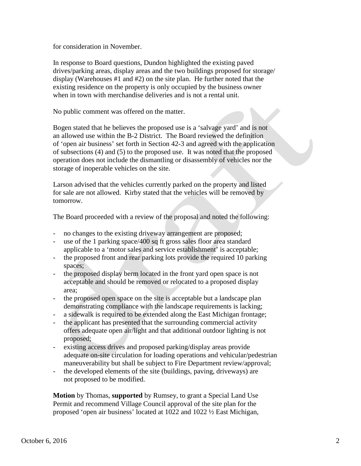for consideration in November.

 In response to Board questions, Dundon highlighted the existing paved drives/parking areas, display areas and the two buildings proposed for storage/ display (Warehouses #1 and #2) on the site plan. He further noted that the existing residence on the property is only occupied by the business owner when in town with merchandise deliveries and is not a rental unit.

No public comment was offered on the matter.

 Bogen stated that he believes the proposed use is a 'salvage yard' and is not an allowed use within the B-2 District. The Board reviewed the definition of 'open air business' set forth in Section 42-3 and agreed with the application of subsections (4) and (5) to the proposed use. It was noted that the proposed operation does not include the dismantling or disassembly of vehicles nor the storage of inoperable vehicles on the site.

 Larson advised that the vehicles currently parked on the property and listed for sale are not allowed. Kirby stated that the vehicles will be removed by tomorrow.

The Board proceeded with a review of the proposal and noted the following:

- no changes to the existing driveway arrangement are proposed;
- use of the 1 parking space/400 sq ft gross sales floor area standard applicable to a 'motor sales and service establishment' is acceptable;
- the proposed front and rear parking lots provide the required 10 parking spaces;
- the proposed display berm located in the front yard open space is not acceptable and should be removed or relocated to a proposed display area;
- the proposed open space on the site is acceptable but a landscape plan demonstrating compliance with the landscape requirements is lacking;
- a sidewalk is required to be extended along the East Michigan frontage;
- the applicant has presented that the surrounding commercial activity offers adequate open air/light and that additional outdoor lighting is not proposed;
- existing access drives and proposed parking/display areas provide adequate on-site circulation for loading operations and vehicular/pedestrian maneuverability but shall be subject to Fire Department review/approval;
- the developed elements of the site (buildings, paving, driveways) are not proposed to be modified.

 **Motion** by Thomas, **supported** by Rumsey, to grant a Special Land Use Permit and recommend Village Council approval of the site plan for the proposed 'open air business' located at 1022 and 1022 ½ East Michigan,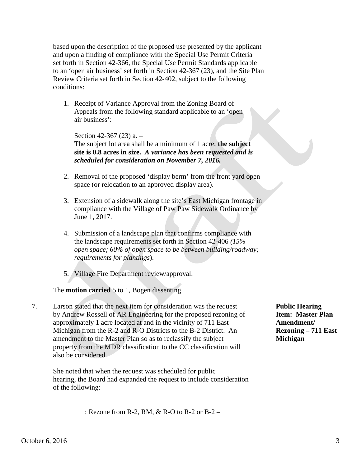based upon the description of the proposed use presented by the applicant and upon a finding of compliance with the Special Use Permit Criteria set forth in Section 42-366, the Special Use Permit Standards applicable to an 'open air business' set forth in Section 42-367 (23), and the Site Plan Review Criteria set forth in Section 42-402, subject to the following conditions:

1. Receipt of Variance Approval from the Zoning Board of Appeals from the following standard applicable to an 'open air business':

Section 42-367 (23) a. – The subject lot area shall be a minimum of 1 acre; **the subject site is 0.8 acres in size.** *A variance has been requested and is scheduled for consideration on November 7, 2016.*

- 2. Removal of the proposed 'display berm' from the front yard open space (or relocation to an approved display area).
- 3. Extension of a sidewalk along the site's East Michigan frontage in compliance with the Village of Paw Paw Sidewalk Ordinance by June 1, 2017.
- 4. Submission of a landscape plan that confirms compliance with the landscape requirements set forth in Section 42-406 *(15% open space; 60% of open space to be between building/roadway; requirements for plantings*).
- 5. Village Fire Department review/approval.

# The **motion carried** 5 to 1, Bogen dissenting.

7. Larson stated that the next item for consideration was the request **Public Hearing** by Andrew Rossell of AR Engineering for the proposed rezoning of **Item: Master Plan** approximately 1 acre located at and in the vicinity of 711 East **Amendment/** Michigan from the R-2 and R-O Districts to the B-2 District. An **Rezoning – 711 East** amendment to the Master Plan so as to reclassify the subject **Michigan** property from the MDR classification to the CC classification will also be considered.

 She noted that when the request was scheduled for public hearing, the Board had expanded the request to include consideration of the following:

: Rezone from R-2, RM, & R-O to R-2 or B-2 –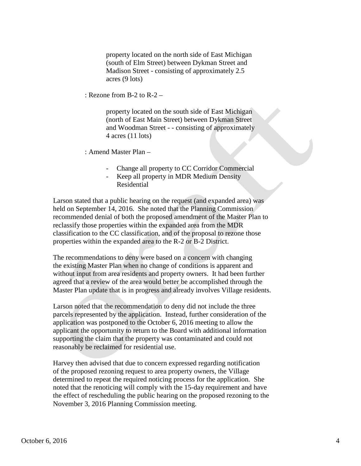property located on the north side of East Michigan (south of Elm Street) between Dykman Street and Madison Street - consisting of approximately 2.5 acres (9 lots)

: Rezone from B-2 to R-2 –

property located on the south side of East Michigan (north of East Main Street) between Dykman Street and Woodman Street - - consisting of approximately 4 acres (11 lots)

: Amend Master Plan –

- Change all property to CC Corridor Commercial
- Keep all property in MDR Medium Density Residential

 Larson stated that a public hearing on the request (and expanded area) was held on September 14, 2016. She noted that the Planning Commission recommended denial of both the proposed amendment of the Master Plan to reclassify those properties within the expanded area from the MDR classification to the CC classification, and of the proposal to rezone those properties within the expanded area to the R-2 or B-2 District.

 The recommendations to deny were based on a concern with changing the existing Master Plan when no change of conditions is apparent and without input from area residents and property owners. It had been further agreed that a review of the area would better be accomplished through the Master Plan update that is in progress and already involves Village residents.

 Larson noted that the recommendation to deny did not include the three parcels represented by the application. Instead, further consideration of the application was postponed to the October 6, 2016 meeting to allow the applicant the opportunity to return to the Board with additional information supporting the claim that the property was contaminated and could not reasonably be reclaimed for residential use.

 Harvey then advised that due to concern expressed regarding notification of the proposed rezoning request to area property owners, the Village determined to repeat the required noticing process for the application. She noted that the renoticing will comply with the 15-day requirement and have the effect of rescheduling the public hearing on the proposed rezoning to the November 3, 2016 Planning Commission meeting.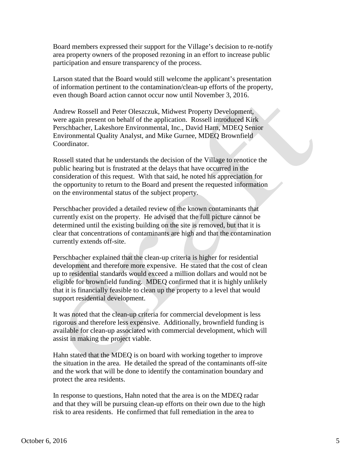Board members expressed their support for the Village's decision to re-notify area property owners of the proposed rezoning in an effort to increase public participation and ensure transparency of the process.

 Larson stated that the Board would still welcome the applicant's presentation of information pertinent to the contamination/clean-up efforts of the property, even though Board action cannot occur now until November 3, 2016.

 Andrew Rossell and Peter Oleszczuk, Midwest Property Development, were again present on behalf of the application. Rossell introduced Kirk Perschbacher, Lakeshore Environmental, Inc., David Harn, MDEQ Senior Environmental Quality Analyst, and Mike Gurnee, MDEQ Brownfield Coordinator.

 Rossell stated that he understands the decision of the Village to renotice the public hearing but is frustrated at the delays that have occurred in the consideration of this request. With that said, he noted his appreciation for the opportunity to return to the Board and present the requested information on the environmental status of the subject property.

 Perschbacher provided a detailed review of the known contaminants that currently exist on the property. He advised that the full picture cannot be determined until the existing building on the site is removed, but that it is clear that concentrations of contaminants are high and that the contamination currently extends off-site.

 Perschbacher explained that the clean-up criteria is higher for residential development and therefore more expensive. He stated that the cost of clean up to residential standards would exceed a million dollars and would not be eligible for brownfield funding. MDEQ confirmed that it is highly unlikely that it is financially feasible to clean up the property to a level that would support residential development.

 It was noted that the clean-up criteria for commercial development is less rigorous and therefore less expensive. Additionally, brownfield funding is available for clean-up associated with commercial development, which will assist in making the project viable.

 Hahn stated that the MDEQ is on board with working together to improve the situation in the area. He detailed the spread of the contaminants off-site and the work that will be done to identify the contamination boundary and protect the area residents.

 In response to questions, Hahn noted that the area is on the MDEQ radar and that they will be pursuing clean-up efforts on their own due to the high risk to area residents. He confirmed that full remediation in the area to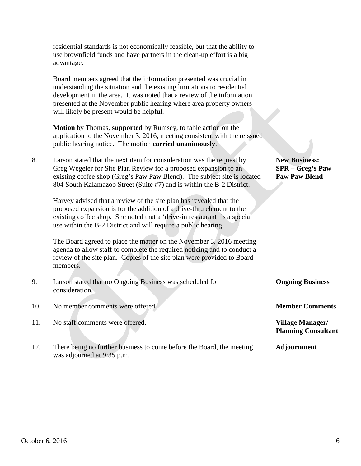|     | residential standards is not economically feasible, but that the ability to<br>use brownfield funds and have partners in the clean-up effort is a big<br>advantage.                                                                                                                                                                        |                                                                         |
|-----|--------------------------------------------------------------------------------------------------------------------------------------------------------------------------------------------------------------------------------------------------------------------------------------------------------------------------------------------|-------------------------------------------------------------------------|
|     | Board members agreed that the information presented was crucial in<br>understanding the situation and the existing limitations to residential<br>development in the area. It was noted that a review of the information<br>presented at the November public hearing where area property owners<br>will likely be present would be helpful. |                                                                         |
|     | <b>Motion</b> by Thomas, supported by Rumsey, to table action on the<br>application to the November 3, 2016, meeting consistent with the reissued<br>public hearing notice. The motion carried unanimously.                                                                                                                                |                                                                         |
| 8.  | Larson stated that the next item for consideration was the request by<br>Greg Wegeler for Site Plan Review for a proposed expansion to an<br>existing coffee shop (Greg's Paw Paw Blend). The subject site is located<br>804 South Kalamazoo Street (Suite #7) and is within the B-2 District.                                             | <b>New Business:</b><br><b>SPR</b> – Greg's Paw<br><b>Paw Paw Blend</b> |
|     | Harvey advised that a review of the site plan has revealed that the<br>proposed expansion is for the addition of a drive-thru element to the<br>existing coffee shop. She noted that a 'drive-in restaurant' is a special<br>use within the B-2 District and will require a public hearing.                                                |                                                                         |
|     | The Board agreed to place the matter on the November 3, 2016 meeting<br>agenda to allow staff to complete the required noticing and to conduct a<br>review of the site plan. Copies of the site plan were provided to Board<br>members.                                                                                                    |                                                                         |
| 9.  | Larson stated that no Ongoing Business was scheduled for<br>consideration.                                                                                                                                                                                                                                                                 | <b>Ongoing Business</b>                                                 |
| 10. | No member comments were offered.                                                                                                                                                                                                                                                                                                           | <b>Member Comments</b>                                                  |
| 11. | No staff comments were offered.                                                                                                                                                                                                                                                                                                            | <b>Village Manager/</b><br><b>Planning Consultant</b>                   |
| 12. | There being no further business to come before the Board, the meeting<br>was adjourned at 9:35 p.m.                                                                                                                                                                                                                                        | <b>Adjournment</b>                                                      |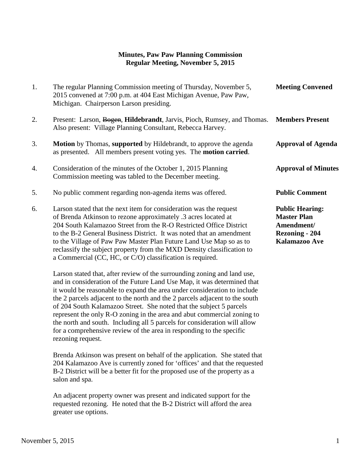## **Minutes, Paw Paw Planning Commission Regular Meeting, November 5, 2015**

| 1. | The regular Planning Commission meeting of Thursday, November 5,<br>2015 convened at 7:00 p.m. at 404 East Michigan Avenue, Paw Paw,<br>Michigan. Chairperson Larson presiding.                                                                                                                                                                                                                                                    | <b>Meeting Convened</b>                                                                              |
|----|------------------------------------------------------------------------------------------------------------------------------------------------------------------------------------------------------------------------------------------------------------------------------------------------------------------------------------------------------------------------------------------------------------------------------------|------------------------------------------------------------------------------------------------------|
| 2. | Present: Larson, Bogen, Hildebrandt, Jarvis, Pioch, Rumsey, and Thomas.<br>Also present: Village Planning Consultant, Rebecca Harvey.                                                                                                                                                                                                                                                                                              | <b>Members Present</b>                                                                               |
| 3. | <b>Motion</b> by Thomas, supported by Hildebrandt, to approve the agenda<br>as presented. All members present voting yes. The <b>motion carried</b> .                                                                                                                                                                                                                                                                              | <b>Approval of Agenda</b>                                                                            |
| 4. | Consideration of the minutes of the October 1, 2015 Planning<br>Commission meeting was tabled to the December meeting.                                                                                                                                                                                                                                                                                                             | <b>Approval of Minutes</b>                                                                           |
| 5. | No public comment regarding non-agenda items was offered.                                                                                                                                                                                                                                                                                                                                                                          | <b>Public Comment</b>                                                                                |
| 6. | Larson stated that the next item for consideration was the request<br>of Brenda Atkinson to rezone approximately .3 acres located at<br>204 South Kalamazoo Street from the R-O Restricted Office District<br>to the B-2 General Business District. It was noted that an amendment<br>to the Village of Paw Paw Master Plan Future Land Use Map so as to<br>reclassify the subject property from the MXD Density classification to | <b>Public Hearing:</b><br><b>Master Plan</b><br>Amendment/<br><b>Rezoning - 204</b><br>Kalamazoo Ave |

 a Commercial (CC, HC, or C/O) classification is required. Larson stated that, after review of the surrounding zoning and land use,

 and in consideration of the Future Land Use Map, it was determined that it would be reasonable to expand the area under consideration to include the 2 parcels adjacent to the north and the 2 parcels adjacent to the south of 204 South Kalamazoo Street. She noted that the subject 5 parcels represent the only R-O zoning in the area and abut commercial zoning to the north and south. Including all 5 parcels for consideration will allow for a comprehensive review of the area in responding to the specific rezoning request.

 Brenda Atkinson was present on behalf of the application. She stated that 204 Kalamazoo Ave is currently zoned for 'offices' and that the requested B-2 District will be a better fit for the proposed use of the property as a salon and spa.

 An adjacent property owner was present and indicated support for the requested rezoning. He noted that the B-2 District will afford the area greater use options.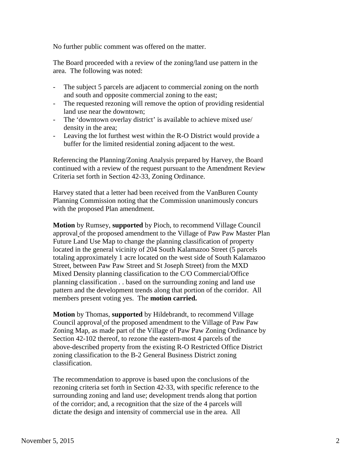No further public comment was offered on the matter.

 The Board proceeded with a review of the zoning/land use pattern in the area. The following was noted:

- The subject 5 parcels are adjacent to commercial zoning on the north and south and opposite commercial zoning to the east;
- The requested rezoning will remove the option of providing residential land use near the downtown;
- The 'downtown overlay district' is available to achieve mixed use/ density in the area;
- Leaving the lot furthest west within the R-O District would provide a buffer for the limited residential zoning adjacent to the west.

 Referencing the Planning/Zoning Analysis prepared by Harvey, the Board continued with a review of the request pursuant to the Amendment Review Criteria set forth in Section 42-33, Zoning Ordinance.

 Harvey stated that a letter had been received from the VanBuren County Planning Commission noting that the Commission unanimously concurs with the proposed Plan amendment.

 **Motion** by Rumsey, **supported** by Pioch, to recommend Village Council approval of the proposed amendment to the Village of Paw Paw Master Plan Future Land Use Map to change the planning classification of property located in the general vicinity of 204 South Kalamazoo Street (5 parcels totaling approximately 1 acre located on the west side of South Kalamazoo Street, between Paw Paw Street and St Joseph Street) from the MXD Mixed Density planning classification to the C/O Commercial/Office planning classification . . based on the surrounding zoning and land use pattern and the development trends along that portion of the corridor. All members present voting yes. The **motion carried.**

 **Motion** by Thomas, **supported** by Hildebrandt, to recommend Village Council approval of the proposed amendment to the Village of Paw Paw Zoning Map, as made part of the Village of Paw Paw Zoning Ordinance by Section 42-102 thereof, to rezone the eastern-most 4 parcels of the above-described property from the existing R-O Restricted Office District zoning classification to the B-2 General Business District zoning classification.

 The recommendation to approve is based upon the conclusions of the rezoning criteria set forth in Section 42-33, with specific reference to the surrounding zoning and land use; development trends along that portion of the corridor; and, a recognition that the size of the 4 parcels will dictate the design and intensity of commercial use in the area. All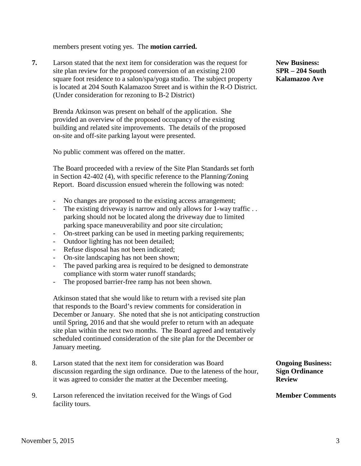members present voting yes. The **motion carried.**

**7.** Larson stated that the next item for consideration was the request for **New Business:** site plan review for the proposed conversion of an existing 2100 **SPR – 204 South** square foot residence to a salon/spa/yoga studio. The subject property **Kalamazoo Ave**  is located at 204 South Kalamazoo Street and is within the R-O District. (Under consideration for rezoning to B-2 District)

 Brenda Atkinson was present on behalf of the application. She provided an overview of the proposed occupancy of the existing building and related site improvements. The details of the proposed on-site and off-site parking layout were presented.

No public comment was offered on the matter.

The Board proceeded with a review of the Site Plan Standards set forth in Section 42-402 (4), with specific reference to the Planning/Zoning Report. Board discussion ensued wherein the following was noted:

- No changes are proposed to the existing access arrangement;
- The existing driveway is narrow and only allows for 1-way traffic.. parking should not be located along the driveway due to limited parking space maneuverability and poor site circulation;
- On-street parking can be used in meeting parking requirements;
- Outdoor lighting has not been detailed;
- Refuse disposal has not been indicated;
- On-site landscaping has not been shown;
- The paved parking area is required to be designed to demonstrate compliance with storm water runoff standards;
- The proposed barrier-free ramp has not been shown.

Atkinson stated that she would like to return with a revised site plan that responds to the Board's review comments for consideration in December or January. She noted that she is not anticipating construction until Spring, 2016 and that she would prefer to return with an adequate site plan within the next two months. The Board agreed and tentatively scheduled continued consideration of the site plan for the December or January meeting.

- 8. Larson stated that the next item for consideration was Board **Ongoing Business:** discussion regarding the sign ordinance. Due to the lateness of the hour, **Sign Ordinance** it was agreed to consider the matter at the December meeting. **Review**
- 9. Larson referenced the invitation received for the Wings of God **Member Comments** facility tours.